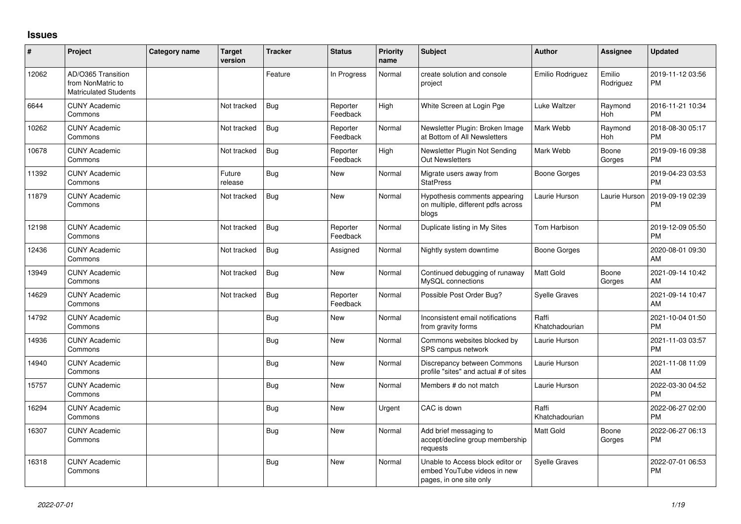## **Issues**

| #     | Project                                                                 | Category name | <b>Target</b><br>version | <b>Tracker</b> | <b>Status</b>        | Priority<br>name | <b>Subject</b>                                                                             | <b>Author</b>           | Assignee            | <b>Updated</b>                |
|-------|-------------------------------------------------------------------------|---------------|--------------------------|----------------|----------------------|------------------|--------------------------------------------------------------------------------------------|-------------------------|---------------------|-------------------------------|
| 12062 | AD/O365 Transition<br>from NonMatric to<br><b>Matriculated Students</b> |               |                          | Feature        | In Progress          | Normal           | create solution and console<br>project                                                     | Emilio Rodriguez        | Emilio<br>Rodriguez | 2019-11-12 03:56<br><b>PM</b> |
| 6644  | <b>CUNY Academic</b><br>Commons                                         |               | Not tracked              | Bug            | Reporter<br>Feedback | High             | White Screen at Login Pge                                                                  | Luke Waltzer            | Raymond<br>Hoh      | 2016-11-21 10:34<br><b>PM</b> |
| 10262 | <b>CUNY Academic</b><br>Commons                                         |               | Not tracked              | Bug            | Reporter<br>Feedback | Normal           | Newsletter Plugin: Broken Image<br>at Bottom of All Newsletters                            | Mark Webb               | Raymond<br>Hoh      | 2018-08-30 05:17<br><b>PM</b> |
| 10678 | <b>CUNY Academic</b><br>Commons                                         |               | Not tracked              | Bug            | Reporter<br>Feedback | High             | Newsletter Plugin Not Sending<br><b>Out Newsletters</b>                                    | Mark Webb               | Boone<br>Gorges     | 2019-09-16 09:38<br><b>PM</b> |
| 11392 | <b>CUNY Academic</b><br>Commons                                         |               | Future<br>release        | Bug            | New                  | Normal           | Migrate users away from<br><b>StatPress</b>                                                | Boone Gorges            |                     | 2019-04-23 03:53<br><b>PM</b> |
| 11879 | <b>CUNY Academic</b><br>Commons                                         |               | Not tracked              | Bug            | <b>New</b>           | Normal           | Hypothesis comments appearing<br>on multiple, different pdfs across<br>blogs               | Laurie Hurson           | Laurie Hurson       | 2019-09-19 02:39<br><b>PM</b> |
| 12198 | <b>CUNY Academic</b><br>Commons                                         |               | Not tracked              | Bug            | Reporter<br>Feedback | Normal           | Duplicate listing in My Sites                                                              | <b>Tom Harbison</b>     |                     | 2019-12-09 05:50<br><b>PM</b> |
| 12436 | <b>CUNY Academic</b><br>Commons                                         |               | Not tracked              | Bug            | Assigned             | Normal           | Nightly system downtime                                                                    | Boone Gorges            |                     | 2020-08-01 09:30<br>AM        |
| 13949 | <b>CUNY Academic</b><br>Commons                                         |               | Not tracked              | Bug            | <b>New</b>           | Normal           | Continued debugging of runaway<br>MySQL connections                                        | <b>Matt Gold</b>        | Boone<br>Gorges     | 2021-09-14 10:42<br>AM        |
| 14629 | <b>CUNY Academic</b><br>Commons                                         |               | Not tracked              | Bug            | Reporter<br>Feedback | Normal           | Possible Post Order Bug?                                                                   | <b>Syelle Graves</b>    |                     | 2021-09-14 10:47<br>AM        |
| 14792 | <b>CUNY Academic</b><br>Commons                                         |               |                          | Bug            | <b>New</b>           | Normal           | Inconsistent email notifications<br>from gravity forms                                     | Raffi<br>Khatchadourian |                     | 2021-10-04 01:50<br><b>PM</b> |
| 14936 | <b>CUNY Academic</b><br>Commons                                         |               |                          | Bug            | <b>New</b>           | Normal           | Commons websites blocked by<br>SPS campus network                                          | Laurie Hurson           |                     | 2021-11-03 03:57<br><b>PM</b> |
| 14940 | <b>CUNY Academic</b><br>Commons                                         |               |                          | Bug            | <b>New</b>           | Normal           | Discrepancy between Commons<br>profile "sites" and actual # of sites                       | Laurie Hurson           |                     | 2021-11-08 11:09<br>AM        |
| 15757 | <b>CUNY Academic</b><br>Commons                                         |               |                          | Bug            | <b>New</b>           | Normal           | Members # do not match                                                                     | Laurie Hurson           |                     | 2022-03-30 04:52<br><b>PM</b> |
| 16294 | <b>CUNY Academic</b><br>Commons                                         |               |                          | Bug            | <b>New</b>           | Urgent           | CAC is down                                                                                | Raffi<br>Khatchadourian |                     | 2022-06-27 02:00<br><b>PM</b> |
| 16307 | <b>CUNY Academic</b><br>Commons                                         |               |                          | Bug            | <b>New</b>           | Normal           | Add brief messaging to<br>accept/decline group membership<br>requests                      | <b>Matt Gold</b>        | Boone<br>Gorges     | 2022-06-27 06:13<br><b>PM</b> |
| 16318 | <b>CUNY Academic</b><br>Commons                                         |               |                          | Bug            | <b>New</b>           | Normal           | Unable to Access block editor or<br>embed YouTube videos in new<br>pages, in one site only | <b>Syelle Graves</b>    |                     | 2022-07-01 06:53<br><b>PM</b> |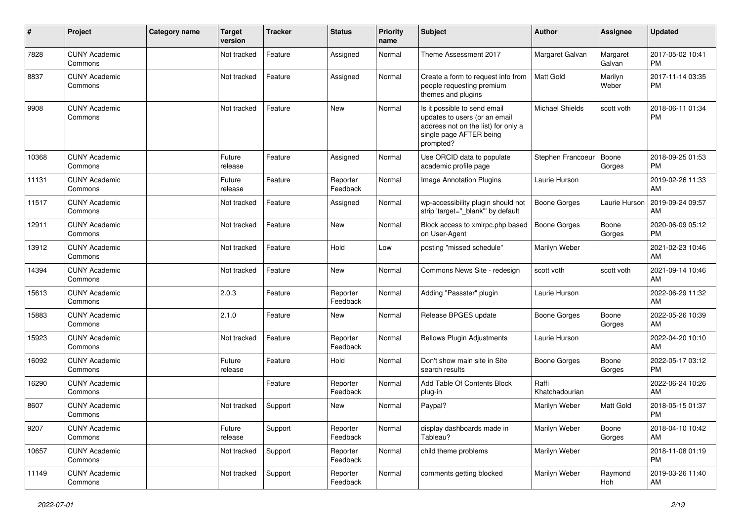| #     | Project                         | Category name | <b>Target</b><br>version | <b>Tracker</b> | <b>Status</b>        | <b>Priority</b><br>name | Subject                                                                                                                                      | <b>Author</b>           | <b>Assignee</b>    | <b>Updated</b>                |
|-------|---------------------------------|---------------|--------------------------|----------------|----------------------|-------------------------|----------------------------------------------------------------------------------------------------------------------------------------------|-------------------------|--------------------|-------------------------------|
| 7828  | <b>CUNY Academic</b><br>Commons |               | Not tracked              | Feature        | Assigned             | Normal                  | Theme Assessment 2017                                                                                                                        | Margaret Galvan         | Margaret<br>Galvan | 2017-05-02 10:41<br><b>PM</b> |
| 8837  | <b>CUNY Academic</b><br>Commons |               | Not tracked              | Feature        | Assigned             | Normal                  | Create a form to request info from<br>people requesting premium<br>themes and plugins                                                        | Matt Gold               | Marilyn<br>Weber   | 2017-11-14 03:35<br><b>PM</b> |
| 9908  | <b>CUNY Academic</b><br>Commons |               | Not tracked              | Feature        | New                  | Normal                  | Is it possible to send email<br>updates to users (or an email<br>address not on the list) for only a<br>single page AFTER being<br>prompted? | <b>Michael Shields</b>  | scott voth         | 2018-06-11 01:34<br><b>PM</b> |
| 10368 | <b>CUNY Academic</b><br>Commons |               | Future<br>release        | Feature        | Assigned             | Normal                  | Use ORCID data to populate<br>academic profile page                                                                                          | Stephen Francoeur       | Boone<br>Gorges    | 2018-09-25 01:53<br><b>PM</b> |
| 11131 | <b>CUNY Academic</b><br>Commons |               | Future<br>release        | Feature        | Reporter<br>Feedback | Normal                  | Image Annotation Plugins                                                                                                                     | Laurie Hurson           |                    | 2019-02-26 11:33<br>AM        |
| 11517 | <b>CUNY Academic</b><br>Commons |               | Not tracked              | Feature        | Assigned             | Normal                  | wp-accessibility plugin should not<br>strip 'target="_blank" by default                                                                      | <b>Boone Gorges</b>     | Laurie Hurson      | 2019-09-24 09:57<br>AM        |
| 12911 | <b>CUNY Academic</b><br>Commons |               | Not tracked              | Feature        | New                  | Normal                  | Block access to xmlrpc.php based<br>on User-Agent                                                                                            | <b>Boone Gorges</b>     | Boone<br>Gorges    | 2020-06-09 05:12<br><b>PM</b> |
| 13912 | <b>CUNY Academic</b><br>Commons |               | Not tracked              | Feature        | Hold                 | Low                     | posting "missed schedule"                                                                                                                    | Marilyn Weber           |                    | 2021-02-23 10:46<br>AM        |
| 14394 | <b>CUNY Academic</b><br>Commons |               | Not tracked              | Feature        | <b>New</b>           | Normal                  | Commons News Site - redesign                                                                                                                 | scott voth              | scott voth         | 2021-09-14 10:46<br>AM        |
| 15613 | <b>CUNY Academic</b><br>Commons |               | 2.0.3                    | Feature        | Reporter<br>Feedback | Normal                  | Adding "Passster" plugin                                                                                                                     | Laurie Hurson           |                    | 2022-06-29 11:32<br>AM        |
| 15883 | <b>CUNY Academic</b><br>Commons |               | 2.1.0                    | Feature        | <b>New</b>           | Normal                  | Release BPGES update                                                                                                                         | <b>Boone Gorges</b>     | Boone<br>Gorges    | 2022-05-26 10:39<br>AM        |
| 15923 | <b>CUNY Academic</b><br>Commons |               | Not tracked              | Feature        | Reporter<br>Feedback | Normal                  | <b>Bellows Plugin Adjustments</b>                                                                                                            | Laurie Hurson           |                    | 2022-04-20 10:10<br>AM        |
| 16092 | <b>CUNY Academic</b><br>Commons |               | Future<br>release        | Feature        | Hold                 | Normal                  | Don't show main site in Site<br>search results                                                                                               | <b>Boone Gorges</b>     | Boone<br>Gorges    | 2022-05-17 03:12<br><b>PM</b> |
| 16290 | <b>CUNY Academic</b><br>Commons |               |                          | Feature        | Reporter<br>Feedback | Normal                  | Add Table Of Contents Block<br>plug-in                                                                                                       | Raffi<br>Khatchadourian |                    | 2022-06-24 10:26<br>AM        |
| 8607  | <b>CUNY Academic</b><br>Commons |               | Not tracked              | Support        | New                  | Normal                  | Paypal?                                                                                                                                      | Marilyn Weber           | Matt Gold          | 2018-05-15 01:37<br><b>PM</b> |
| 9207  | <b>CUNY Academic</b><br>Commons |               | Future<br>release        | Support        | Reporter<br>Feedback | Normal                  | display dashboards made in<br>Tableau?                                                                                                       | Marilyn Weber           | Boone<br>Gorges    | 2018-04-10 10:42<br>AM        |
| 10657 | <b>CUNY Academic</b><br>Commons |               | Not tracked              | Support        | Reporter<br>Feedback | Normal                  | child theme problems                                                                                                                         | Marilyn Weber           |                    | 2018-11-08 01:19<br><b>PM</b> |
| 11149 | <b>CUNY Academic</b><br>Commons |               | Not tracked              | Support        | Reporter<br>Feedback | Normal                  | comments getting blocked                                                                                                                     | Marilyn Weber           | Raymond<br>Hoh     | 2019-03-26 11:40<br>AM        |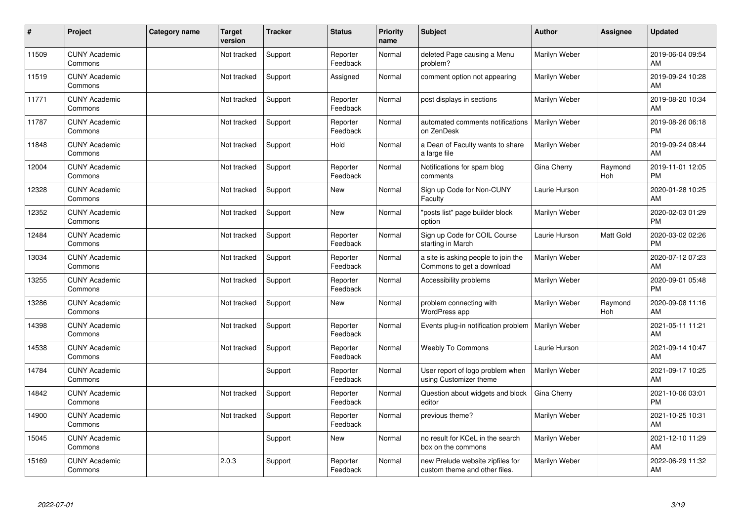| #     | Project                         | Category name | <b>Target</b><br>version | <b>Tracker</b> | <b>Status</b>        | <b>Priority</b><br>name | <b>Subject</b>                                                    | <b>Author</b> | Assignee       | <b>Updated</b>                |
|-------|---------------------------------|---------------|--------------------------|----------------|----------------------|-------------------------|-------------------------------------------------------------------|---------------|----------------|-------------------------------|
| 11509 | <b>CUNY Academic</b><br>Commons |               | Not tracked              | Support        | Reporter<br>Feedback | Normal                  | deleted Page causing a Menu<br>problem?                           | Marilyn Weber |                | 2019-06-04 09:54<br>AM        |
| 11519 | <b>CUNY Academic</b><br>Commons |               | Not tracked              | Support        | Assigned             | Normal                  | comment option not appearing                                      | Marilyn Weber |                | 2019-09-24 10:28<br>AM        |
| 11771 | <b>CUNY Academic</b><br>Commons |               | Not tracked              | Support        | Reporter<br>Feedback | Normal                  | post displays in sections                                         | Marilyn Weber |                | 2019-08-20 10:34<br>AM        |
| 11787 | <b>CUNY Academic</b><br>Commons |               | Not tracked              | Support        | Reporter<br>Feedback | Normal                  | automated comments notifications<br>on ZenDesk                    | Marilyn Weber |                | 2019-08-26 06:18<br><b>PM</b> |
| 11848 | <b>CUNY Academic</b><br>Commons |               | Not tracked              | Support        | Hold                 | Normal                  | a Dean of Faculty wants to share<br>a large file                  | Marilyn Weber |                | 2019-09-24 08:44<br>AM        |
| 12004 | <b>CUNY Academic</b><br>Commons |               | Not tracked              | Support        | Reporter<br>Feedback | Normal                  | Notifications for spam blog<br>comments                           | Gina Cherry   | Raymond<br>Hoh | 2019-11-01 12:05<br><b>PM</b> |
| 12328 | <b>CUNY Academic</b><br>Commons |               | Not tracked              | Support        | <b>New</b>           | Normal                  | Sign up Code for Non-CUNY<br>Faculty                              | Laurie Hurson |                | 2020-01-28 10:25<br>AM        |
| 12352 | <b>CUNY Academic</b><br>Commons |               | Not tracked              | Support        | <b>New</b>           | Normal                  | "posts list" page builder block<br>option                         | Marilyn Weber |                | 2020-02-03 01:29<br><b>PM</b> |
| 12484 | <b>CUNY Academic</b><br>Commons |               | Not tracked              | Support        | Reporter<br>Feedback | Normal                  | Sign up Code for COIL Course<br>starting in March                 | Laurie Hurson | Matt Gold      | 2020-03-02 02:26<br><b>PM</b> |
| 13034 | <b>CUNY Academic</b><br>Commons |               | Not tracked              | Support        | Reporter<br>Feedback | Normal                  | a site is asking people to join the<br>Commons to get a download  | Marilyn Weber |                | 2020-07-12 07:23<br>AM        |
| 13255 | <b>CUNY Academic</b><br>Commons |               | Not tracked              | Support        | Reporter<br>Feedback | Normal                  | Accessibility problems                                            | Marilyn Weber |                | 2020-09-01 05:48<br><b>PM</b> |
| 13286 | <b>CUNY Academic</b><br>Commons |               | Not tracked              | Support        | <b>New</b>           | Normal                  | problem connecting with<br>WordPress app                          | Marilyn Weber | Raymond<br>Hoh | 2020-09-08 11:16<br>AM        |
| 14398 | <b>CUNY Academic</b><br>Commons |               | Not tracked              | Support        | Reporter<br>Feedback | Normal                  | Events plug-in notification problem                               | Marilyn Weber |                | 2021-05-11 11:21<br>AM        |
| 14538 | <b>CUNY Academic</b><br>Commons |               | Not tracked              | Support        | Reporter<br>Feedback | Normal                  | <b>Weebly To Commons</b>                                          | Laurie Hurson |                | 2021-09-14 10:47<br>AM        |
| 14784 | <b>CUNY Academic</b><br>Commons |               |                          | Support        | Reporter<br>Feedback | Normal                  | User report of logo problem when<br>using Customizer theme        | Marilyn Weber |                | 2021-09-17 10:25<br>AM        |
| 14842 | <b>CUNY Academic</b><br>Commons |               | Not tracked              | Support        | Reporter<br>Feedback | Normal                  | Question about widgets and block<br>editor                        | Gina Cherry   |                | 2021-10-06 03:01<br><b>PM</b> |
| 14900 | <b>CUNY Academic</b><br>Commons |               | Not tracked              | Support        | Reporter<br>Feedback | Normal                  | previous theme?                                                   | Marilyn Weber |                | 2021-10-25 10:31<br>AM        |
| 15045 | <b>CUNY Academic</b><br>Commons |               |                          | Support        | <b>New</b>           | Normal                  | no result for KCeL in the search<br>box on the commons            | Marilyn Weber |                | 2021-12-10 11:29<br>AM        |
| 15169 | <b>CUNY Academic</b><br>Commons |               | 2.0.3                    | Support        | Reporter<br>Feedback | Normal                  | new Prelude website zipfiles for<br>custom theme and other files. | Marilyn Weber |                | 2022-06-29 11:32<br>AM        |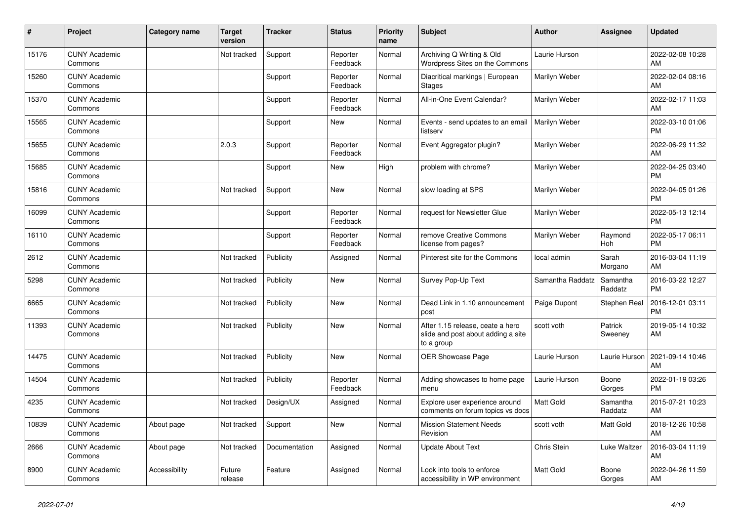| #     | Project                         | <b>Category name</b> | <b>Target</b><br>version | <b>Tracker</b> | <b>Status</b>        | <b>Priority</b><br>name | <b>Subject</b>                                                                       | <b>Author</b>    | <b>Assignee</b>     | <b>Updated</b>                |
|-------|---------------------------------|----------------------|--------------------------|----------------|----------------------|-------------------------|--------------------------------------------------------------------------------------|------------------|---------------------|-------------------------------|
| 15176 | <b>CUNY Academic</b><br>Commons |                      | Not tracked              | Support        | Reporter<br>Feedback | Normal                  | Archiving Q Writing & Old<br>Wordpress Sites on the Commons                          | Laurie Hurson    |                     | 2022-02-08 10:28<br>AM        |
| 15260 | <b>CUNY Academic</b><br>Commons |                      |                          | Support        | Reporter<br>Feedback | Normal                  | Diacritical markings   European<br>Stages                                            | Marilyn Weber    |                     | 2022-02-04 08:16<br>AM        |
| 15370 | <b>CUNY Academic</b><br>Commons |                      |                          | Support        | Reporter<br>Feedback | Normal                  | All-in-One Event Calendar?                                                           | Marilyn Weber    |                     | 2022-02-17 11:03<br>AM        |
| 15565 | <b>CUNY Academic</b><br>Commons |                      |                          | Support        | <b>New</b>           | Normal                  | Events - send updates to an email<br>listserv                                        | Marilyn Weber    |                     | 2022-03-10 01:06<br><b>PM</b> |
| 15655 | <b>CUNY Academic</b><br>Commons |                      | 2.0.3                    | Support        | Reporter<br>Feedback | Normal                  | Event Aggregator plugin?                                                             | Marilyn Weber    |                     | 2022-06-29 11:32<br>AM        |
| 15685 | <b>CUNY Academic</b><br>Commons |                      |                          | Support        | New                  | High                    | problem with chrome?                                                                 | Marilyn Weber    |                     | 2022-04-25 03:40<br><b>PM</b> |
| 15816 | <b>CUNY Academic</b><br>Commons |                      | Not tracked              | Support        | <b>New</b>           | Normal                  | slow loading at SPS                                                                  | Marilyn Weber    |                     | 2022-04-05 01:26<br><b>PM</b> |
| 16099 | <b>CUNY Academic</b><br>Commons |                      |                          | Support        | Reporter<br>Feedback | Normal                  | request for Newsletter Glue                                                          | Marilyn Weber    |                     | 2022-05-13 12:14<br><b>PM</b> |
| 16110 | <b>CUNY Academic</b><br>Commons |                      |                          | Support        | Reporter<br>Feedback | Normal                  | remove Creative Commons<br>license from pages?                                       | Marilyn Weber    | Raymond<br>Hoh      | 2022-05-17 06:11<br><b>PM</b> |
| 2612  | <b>CUNY Academic</b><br>Commons |                      | Not tracked              | Publicity      | Assigned             | Normal                  | Pinterest site for the Commons                                                       | local admin      | Sarah<br>Morgano    | 2016-03-04 11:19<br>AM        |
| 5298  | <b>CUNY Academic</b><br>Commons |                      | Not tracked              | Publicity      | <b>New</b>           | Normal                  | Survey Pop-Up Text                                                                   | Samantha Raddatz | Samantha<br>Raddatz | 2016-03-22 12:27<br><b>PM</b> |
| 6665  | <b>CUNY Academic</b><br>Commons |                      | Not tracked              | Publicity      | <b>New</b>           | Normal                  | Dead Link in 1.10 announcement<br>post                                               | Paige Dupont     | Stephen Real        | 2016-12-01 03:11<br><b>PM</b> |
| 11393 | <b>CUNY Academic</b><br>Commons |                      | Not tracked              | Publicity      | <b>New</b>           | Normal                  | After 1.15 release, ceate a hero<br>slide and post about adding a site<br>to a group | scott voth       | Patrick<br>Sweeney  | 2019-05-14 10:32<br>AM        |
| 14475 | <b>CUNY Academic</b><br>Commons |                      | Not tracked              | Publicity      | <b>New</b>           | Normal                  | OER Showcase Page                                                                    | Laurie Hurson    | Laurie Hurson       | 2021-09-14 10:46<br>AM        |
| 14504 | <b>CUNY Academic</b><br>Commons |                      | Not tracked              | Publicity      | Reporter<br>Feedback | Normal                  | Adding showcases to home page<br>menu                                                | Laurie Hurson    | Boone<br>Gorges     | 2022-01-19 03:26<br><b>PM</b> |
| 4235  | <b>CUNY Academic</b><br>Commons |                      | Not tracked              | Design/UX      | Assigned             | Normal                  | Explore user experience around<br>comments on forum topics vs docs                   | <b>Matt Gold</b> | Samantha<br>Raddatz | 2015-07-21 10:23<br>AM        |
| 10839 | <b>CUNY Academic</b><br>Commons | About page           | Not tracked              | Support        | <b>New</b>           | Normal                  | <b>Mission Statement Needs</b><br>Revision                                           | scott voth       | Matt Gold           | 2018-12-26 10:58<br>AM        |
| 2666  | <b>CUNY Academic</b><br>Commons | About page           | Not tracked              | Documentation  | Assigned             | Normal                  | <b>Update About Text</b>                                                             | Chris Stein      | Luke Waltzer        | 2016-03-04 11:19<br>AM        |
| 8900  | <b>CUNY Academic</b><br>Commons | Accessibility        | Future<br>release        | Feature        | Assigned             | Normal                  | Look into tools to enforce<br>accessibility in WP environment                        | <b>Matt Gold</b> | Boone<br>Gorges     | 2022-04-26 11:59<br>AM        |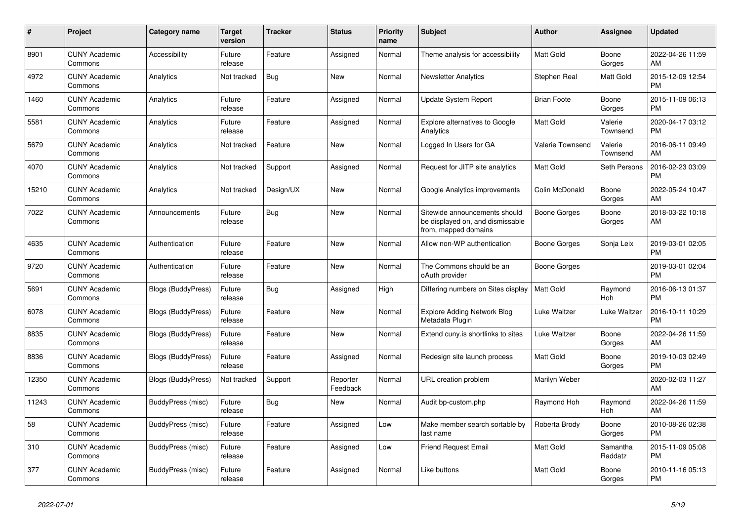| #     | Project                         | <b>Category name</b>      | <b>Target</b><br>version | <b>Tracker</b> | <b>Status</b>        | <b>Priority</b><br>name | <b>Subject</b>                                                                            | <b>Author</b>      | Assignee            | <b>Updated</b>                |
|-------|---------------------------------|---------------------------|--------------------------|----------------|----------------------|-------------------------|-------------------------------------------------------------------------------------------|--------------------|---------------------|-------------------------------|
| 8901  | <b>CUNY Academic</b><br>Commons | Accessibility             | Future<br>release        | Feature        | Assigned             | Normal                  | Theme analysis for accessibility                                                          | <b>Matt Gold</b>   | Boone<br>Gorges     | 2022-04-26 11:59<br>AM        |
| 4972  | <b>CUNY Academic</b><br>Commons | Analytics                 | Not tracked              | <b>Bug</b>     | New                  | Normal                  | <b>Newsletter Analytics</b>                                                               | Stephen Real       | Matt Gold           | 2015-12-09 12:54<br><b>PM</b> |
| 1460  | <b>CUNY Academic</b><br>Commons | Analytics                 | Future<br>release        | Feature        | Assigned             | Normal                  | Update System Report                                                                      | <b>Brian Foote</b> | Boone<br>Gorges     | 2015-11-09 06:13<br><b>PM</b> |
| 5581  | <b>CUNY Academic</b><br>Commons | Analytics                 | Future<br>release        | Feature        | Assigned             | Normal                  | <b>Explore alternatives to Google</b><br>Analytics                                        | <b>Matt Gold</b>   | Valerie<br>Townsend | 2020-04-17 03:12<br><b>PM</b> |
| 5679  | <b>CUNY Academic</b><br>Commons | Analytics                 | Not tracked              | Feature        | New                  | Normal                  | Logged In Users for GA                                                                    | Valerie Townsend   | Valerie<br>Townsend | 2016-06-11 09:49<br>AM        |
| 4070  | <b>CUNY Academic</b><br>Commons | Analytics                 | Not tracked              | Support        | Assigned             | Normal                  | Request for JITP site analytics                                                           | Matt Gold          | Seth Persons        | 2016-02-23 03:09<br><b>PM</b> |
| 15210 | <b>CUNY Academic</b><br>Commons | Analytics                 | Not tracked              | Design/UX      | <b>New</b>           | Normal                  | Google Analytics improvements                                                             | Colin McDonald     | Boone<br>Gorges     | 2022-05-24 10:47<br>AM        |
| 7022  | <b>CUNY Academic</b><br>Commons | Announcements             | Future<br>release        | Bug            | <b>New</b>           | Normal                  | Sitewide announcements should<br>be displayed on, and dismissable<br>from, mapped domains | Boone Gorges       | Boone<br>Gorges     | 2018-03-22 10:18<br>AM        |
| 4635  | <b>CUNY Academic</b><br>Commons | Authentication            | Future<br>release        | Feature        | New                  | Normal                  | Allow non-WP authentication                                                               | Boone Gorges       | Sonja Leix          | 2019-03-01 02:05<br><b>PM</b> |
| 9720  | <b>CUNY Academic</b><br>Commons | Authentication            | Future<br>release        | Feature        | <b>New</b>           | Normal                  | The Commons should be an<br>oAuth provider                                                | Boone Gorges       |                     | 2019-03-01 02:04<br><b>PM</b> |
| 5691  | <b>CUNY Academic</b><br>Commons | <b>Blogs (BuddyPress)</b> | Future<br>release        | Bug            | Assigned             | High                    | Differing numbers on Sites display                                                        | <b>Matt Gold</b>   | Raymond<br>Hoh      | 2016-06-13 01:37<br><b>PM</b> |
| 6078  | <b>CUNY Academic</b><br>Commons | <b>Blogs (BuddyPress)</b> | Future<br>release        | Feature        | New                  | Normal                  | <b>Explore Adding Network Blog</b><br>Metadata Plugin                                     | Luke Waltzer       | Luke Waltzer        | 2016-10-11 10:29<br><b>PM</b> |
| 8835  | <b>CUNY Academic</b><br>Commons | <b>Blogs (BuddyPress)</b> | Future<br>release        | Feature        | <b>New</b>           | Normal                  | Extend cuny.is shortlinks to sites                                                        | Luke Waltzer       | Boone<br>Gorges     | 2022-04-26 11:59<br>AM        |
| 8836  | <b>CUNY Academic</b><br>Commons | <b>Blogs (BuddyPress)</b> | Future<br>release        | Feature        | Assigned             | Normal                  | Redesign site launch process                                                              | Matt Gold          | Boone<br>Gorges     | 2019-10-03 02:49<br><b>PM</b> |
| 12350 | <b>CUNY Academic</b><br>Commons | Blogs (BuddyPress)        | Not tracked              | Support        | Reporter<br>Feedback | Normal                  | URL creation problem                                                                      | Marilyn Weber      |                     | 2020-02-03 11:27<br>AM        |
| 11243 | <b>CUNY Academic</b><br>Commons | BuddyPress (misc)         | Future<br>release        | Bug            | <b>New</b>           | Normal                  | Audit bp-custom.php                                                                       | Raymond Hoh        | Raymond<br>Hoh      | 2022-04-26 11:59<br>AM        |
| 58    | <b>CUNY Academic</b><br>Commons | BuddyPress (misc)         | Future<br>release        | Feature        | Assigned             | Low                     | Make member search sortable by<br>last name                                               | Roberta Brody      | Boone<br>Gorges     | 2010-08-26 02:38<br><b>PM</b> |
| 310   | <b>CUNY Academic</b><br>Commons | BuddyPress (misc)         | Future<br>release        | Feature        | Assigned             | Low                     | <b>Friend Request Email</b>                                                               | Matt Gold          | Samantha<br>Raddatz | 2015-11-09 05:08<br><b>PM</b> |
| 377   | <b>CUNY Academic</b><br>Commons | BuddyPress (misc)         | Future<br>release        | Feature        | Assigned             | Normal                  | Like buttons                                                                              | Matt Gold          | Boone<br>Gorges     | 2010-11-16 05:13<br><b>PM</b> |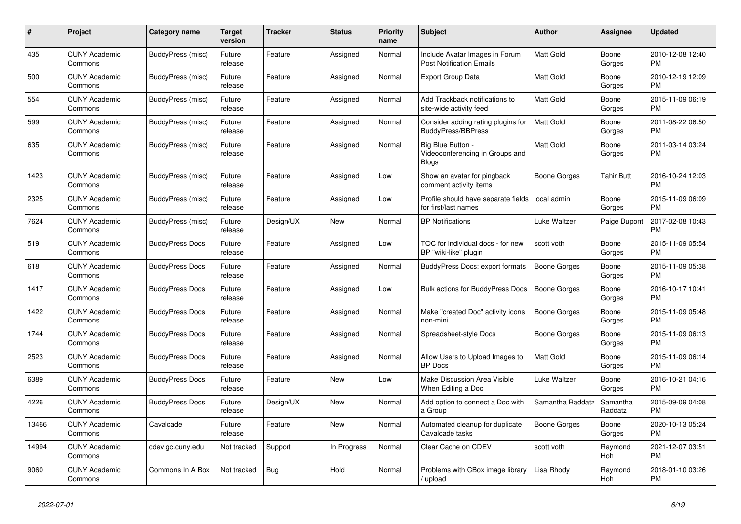| #     | <b>Project</b>                  | Category name          | Target<br>version | <b>Tracker</b> | <b>Status</b> | <b>Priority</b><br>name | <b>Subject</b>                                                     | <b>Author</b>       | Assignee            | <b>Updated</b>                |
|-------|---------------------------------|------------------------|-------------------|----------------|---------------|-------------------------|--------------------------------------------------------------------|---------------------|---------------------|-------------------------------|
| 435   | <b>CUNY Academic</b><br>Commons | BuddyPress (misc)      | Future<br>release | Feature        | Assigned      | Normal                  | Include Avatar Images in Forum<br><b>Post Notification Emails</b>  | <b>Matt Gold</b>    | Boone<br>Gorges     | 2010-12-08 12:40<br><b>PM</b> |
| 500   | <b>CUNY Academic</b><br>Commons | BuddyPress (misc)      | Future<br>release | Feature        | Assigned      | Normal                  | Export Group Data                                                  | <b>Matt Gold</b>    | Boone<br>Gorges     | 2010-12-19 12:09<br>PM.       |
| 554   | <b>CUNY Academic</b><br>Commons | BuddyPress (misc)      | Future<br>release | Feature        | Assigned      | Normal                  | Add Trackback notifications to<br>site-wide activity feed          | <b>Matt Gold</b>    | Boone<br>Gorges     | 2015-11-09 06:19<br><b>PM</b> |
| 599   | <b>CUNY Academic</b><br>Commons | BuddyPress (misc)      | Future<br>release | Feature        | Assigned      | Normal                  | Consider adding rating plugins for<br><b>BuddyPress/BBPress</b>    | <b>Matt Gold</b>    | Boone<br>Gorges     | 2011-08-22 06:50<br><b>PM</b> |
| 635   | <b>CUNY Academic</b><br>Commons | BuddyPress (misc)      | Future<br>release | Feature        | Assigned      | Normal                  | Big Blue Button<br>Videoconferencing in Groups and<br><b>Blogs</b> | Matt Gold           | Boone<br>Gorges     | 2011-03-14 03:24<br>PM        |
| 1423  | <b>CUNY Academic</b><br>Commons | BuddyPress (misc)      | Future<br>release | Feature        | Assigned      | Low                     | Show an avatar for pingback<br>comment activity items              | Boone Gorges        | Tahir Butt          | 2016-10-24 12:03<br><b>PM</b> |
| 2325  | <b>CUNY Academic</b><br>Commons | BuddyPress (misc)      | Future<br>release | Feature        | Assigned      | Low                     | Profile should have separate fields<br>for first/last names        | local admin         | Boone<br>Gorges     | 2015-11-09 06:09<br><b>PM</b> |
| 7624  | <b>CUNY Academic</b><br>Commons | BuddyPress (misc)      | Future<br>release | Design/UX      | New           | Normal                  | <b>BP Notifications</b>                                            | Luke Waltzer        | Paige Dupont        | 2017-02-08 10:43<br><b>PM</b> |
| 519   | <b>CUNY Academic</b><br>Commons | <b>BuddyPress Docs</b> | Future<br>release | Feature        | Assigned      | Low                     | TOC for individual docs - for new<br>BP "wiki-like" plugin         | scott voth          | Boone<br>Gorges     | 2015-11-09 05:54<br><b>PM</b> |
| 618   | <b>CUNY Academic</b><br>Commons | <b>BuddyPress Docs</b> | Future<br>release | Feature        | Assigned      | Normal                  | BuddyPress Docs: export formats                                    | Boone Gorges        | Boone<br>Gorges     | 2015-11-09 05:38<br><b>PM</b> |
| 1417  | <b>CUNY Academic</b><br>Commons | <b>BuddyPress Docs</b> | Future<br>release | Feature        | Assigned      | Low                     | <b>Bulk actions for BuddyPress Docs</b>                            | <b>Boone Gorges</b> | Boone<br>Gorges     | 2016-10-17 10:41<br><b>PM</b> |
| 1422  | <b>CUNY Academic</b><br>Commons | <b>BuddyPress Docs</b> | Future<br>release | Feature        | Assigned      | Normal                  | Make "created Doc" activity icons<br>non-mini                      | Boone Gorges        | Boone<br>Gorges     | 2015-11-09 05:48<br><b>PM</b> |
| 1744  | <b>CUNY Academic</b><br>Commons | <b>BuddyPress Docs</b> | Future<br>release | Feature        | Assigned      | Normal                  | Spreadsheet-style Docs                                             | Boone Gorges        | Boone<br>Gorges     | 2015-11-09 06:13<br><b>PM</b> |
| 2523  | <b>CUNY Academic</b><br>Commons | <b>BuddyPress Docs</b> | Future<br>release | Feature        | Assigned      | Normal                  | Allow Users to Upload Images to<br><b>BP</b> Docs                  | Matt Gold           | Boone<br>Gorges     | 2015-11-09 06:14<br><b>PM</b> |
| 6389  | <b>CUNY Academic</b><br>Commons | <b>BuddyPress Docs</b> | Future<br>release | Feature        | New           | Low                     | Make Discussion Area Visible<br>When Editing a Doc                 | Luke Waltzer        | Boone<br>Gorges     | 2016-10-21 04:16<br><b>PM</b> |
| 4226  | <b>CUNY Academic</b><br>Commons | <b>BuddyPress Docs</b> | Future<br>release | Design/UX      | New           | Normal                  | Add option to connect a Doc with<br>a Group                        | Samantha Raddatz    | Samantha<br>Raddatz | 2015-09-09 04:08<br><b>PM</b> |
| 13466 | <b>CUNY Academic</b><br>Commons | Cavalcade              | Future<br>release | Feature        | <b>New</b>    | Normal                  | Automated cleanup for duplicate<br>Cavalcade tasks                 | Boone Gorges        | Boone<br>Gorges     | 2020-10-13 05:24<br><b>PM</b> |
| 14994 | <b>CUNY Academic</b><br>Commons | cdev.gc.cuny.edu       | Not tracked       | Support        | In Progress   | Normal                  | Clear Cache on CDEV                                                | scott voth          | Raymond<br>Hoh      | 2021-12-07 03:51<br><b>PM</b> |
| 9060  | <b>CUNY Academic</b><br>Commons | Commons In A Box       | Not tracked       | Bug            | Hold          | Normal                  | Problems with CBox image library<br>/ upload                       | Lisa Rhody          | Raymond<br>Hoh      | 2018-01-10 03:26<br><b>PM</b> |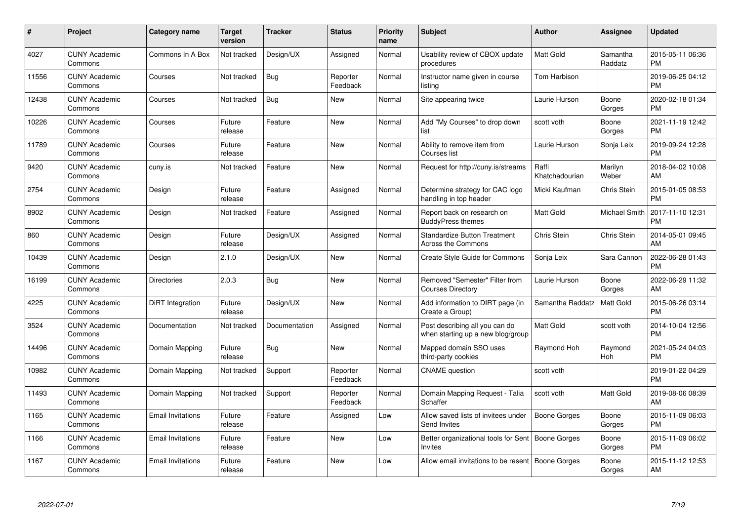| $\#$  | Project                         | <b>Category name</b>     | <b>Target</b><br>version | <b>Tracker</b> | <b>Status</b>        | Priority<br>name | <b>Subject</b>                                                      | <b>Author</b>           | <b>Assignee</b>     | <b>Updated</b>                |
|-------|---------------------------------|--------------------------|--------------------------|----------------|----------------------|------------------|---------------------------------------------------------------------|-------------------------|---------------------|-------------------------------|
| 4027  | <b>CUNY Academic</b><br>Commons | Commons In A Box         | Not tracked              | Design/UX      | Assigned             | Normal           | Usability review of CBOX update<br>procedures                       | <b>Matt Gold</b>        | Samantha<br>Raddatz | 2015-05-11 06:36<br><b>PM</b> |
| 11556 | <b>CUNY Academic</b><br>Commons | Courses                  | Not tracked              | Bug            | Reporter<br>Feedback | Normal           | Instructor name given in course<br>listing                          | Tom Harbison            |                     | 2019-06-25 04:12<br><b>PM</b> |
| 12438 | <b>CUNY Academic</b><br>Commons | Courses                  | Not tracked              | <b>Bug</b>     | <b>New</b>           | Normal           | Site appearing twice                                                | Laurie Hurson           | Boone<br>Gorges     | 2020-02-18 01:34<br><b>PM</b> |
| 10226 | <b>CUNY Academic</b><br>Commons | Courses                  | Future<br>release        | Feature        | <b>New</b>           | Normal           | Add "My Courses" to drop down<br>list                               | scott voth              | Boone<br>Gorges     | 2021-11-19 12:42<br><b>PM</b> |
| 11789 | <b>CUNY Academic</b><br>Commons | Courses                  | Future<br>release        | Feature        | <b>New</b>           | Normal           | Ability to remove item from<br>Courses list                         | Laurie Hurson           | Sonja Leix          | 2019-09-24 12:28<br><b>PM</b> |
| 9420  | <b>CUNY Academic</b><br>Commons | cuny.is                  | Not tracked              | Feature        | <b>New</b>           | Normal           | Request for http://cuny.is/streams                                  | Raffi<br>Khatchadourian | Marilyn<br>Weber    | 2018-04-02 10:08<br>AM        |
| 2754  | <b>CUNY Academic</b><br>Commons | Design                   | Future<br>release        | Feature        | Assigned             | Normal           | Determine strategy for CAC logo<br>handling in top header           | Micki Kaufman           | Chris Stein         | 2015-01-05 08:53<br><b>PM</b> |
| 8902  | <b>CUNY Academic</b><br>Commons | Design                   | Not tracked              | Feature        | Assigned             | Normal           | Report back on research on<br><b>BuddyPress themes</b>              | <b>Matt Gold</b>        | Michael Smith       | 2017-11-10 12:31<br><b>PM</b> |
| 860   | <b>CUNY Academic</b><br>Commons | Design                   | Future<br>release        | Design/UX      | Assigned             | Normal           | <b>Standardize Button Treatment</b><br><b>Across the Commons</b>    | Chris Stein             | Chris Stein         | 2014-05-01 09:45<br>AM        |
| 10439 | <b>CUNY Academic</b><br>Commons | Design                   | 2.1.0                    | Design/UX      | <b>New</b>           | Normal           | <b>Create Style Guide for Commons</b>                               | Sonja Leix              | Sara Cannon         | 2022-06-28 01:43<br><b>PM</b> |
| 16199 | <b>CUNY Academic</b><br>Commons | <b>Directories</b>       | 2.0.3                    | Bug            | <b>New</b>           | Normal           | Removed "Semester" Filter from<br><b>Courses Directory</b>          | Laurie Hurson           | Boone<br>Gorges     | 2022-06-29 11:32<br>AM        |
| 4225  | <b>CUNY Academic</b><br>Commons | DiRT Integration         | Future<br>release        | Design/UX      | New                  | Normal           | Add information to DIRT page (in<br>Create a Group)                 | Samantha Raddatz        | Matt Gold           | 2015-06-26 03:14<br><b>PM</b> |
| 3524  | <b>CUNY Academic</b><br>Commons | Documentation            | Not tracked              | Documentation  | Assigned             | Normal           | Post describing all you can do<br>when starting up a new blog/group | Matt Gold               | scott voth          | 2014-10-04 12:56<br><b>PM</b> |
| 14496 | <b>CUNY Academic</b><br>Commons | Domain Mapping           | Future<br>release        | Bug            | New                  | Normal           | Mapped domain SSO uses<br>third-party cookies                       | Raymond Hoh             | Raymond<br>Hoh      | 2021-05-24 04:03<br><b>PM</b> |
| 10982 | <b>CUNY Academic</b><br>Commons | Domain Mapping           | Not tracked              | Support        | Reporter<br>Feedback | Normal           | <b>CNAME</b> question                                               | scott voth              |                     | 2019-01-22 04:29<br><b>PM</b> |
| 11493 | <b>CUNY Academic</b><br>Commons | Domain Mapping           | Not tracked              | Support        | Reporter<br>Feedback | Normal           | Domain Mapping Request - Talia<br>Schaffer                          | scott voth              | Matt Gold           | 2019-08-06 08:39<br>AM        |
| 1165  | <b>CUNY Academic</b><br>Commons | Email Invitations        | Future<br>release        | Feature        | Assigned             | Low              | Allow saved lists of invitees under<br>Send Invites                 | Boone Gorges            | Boone<br>Gorges     | 2015-11-09 06:03<br><b>PM</b> |
| 1166  | <b>CUNY Academic</b><br>Commons | <b>Email Invitations</b> | Future<br>release        | Feature        | New                  | Low              | Better organizational tools for Sent   Boone Gorges<br>Invites      |                         | Boone<br>Gorges     | 2015-11-09 06:02<br><b>PM</b> |
| 1167  | <b>CUNY Academic</b><br>Commons | <b>Email Invitations</b> | Future<br>release        | Feature        | <b>New</b>           | Low              | Allow email invitations to be resent                                | Boone Gorges            | Boone<br>Gorges     | 2015-11-12 12:53<br>AM        |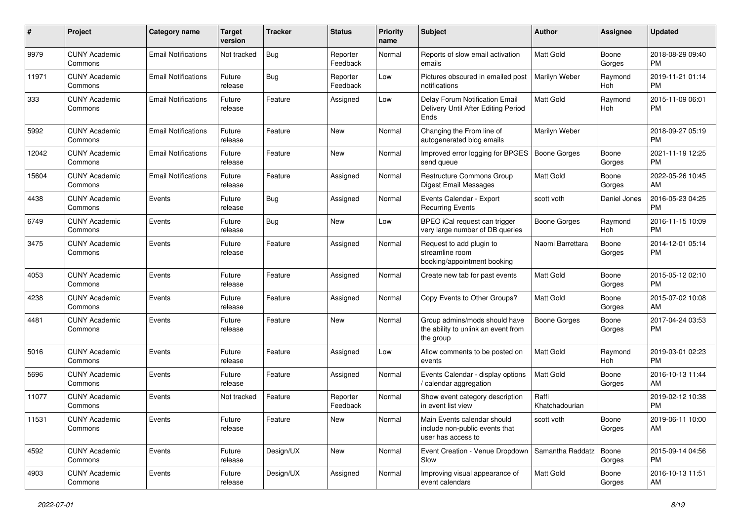| #     | Project                         | <b>Category name</b>       | <b>Target</b><br>version | Tracker    | <b>Status</b>        | <b>Priority</b><br>name | Subject                                                                             | Author                  | <b>Assignee</b> | <b>Updated</b>                |
|-------|---------------------------------|----------------------------|--------------------------|------------|----------------------|-------------------------|-------------------------------------------------------------------------------------|-------------------------|-----------------|-------------------------------|
| 9979  | <b>CUNY Academic</b><br>Commons | <b>Email Notifications</b> | Not tracked              | Bug        | Reporter<br>Feedback | Normal                  | Reports of slow email activation<br>emails                                          | Matt Gold               | Boone<br>Gorges | 2018-08-29 09:40<br><b>PM</b> |
| 11971 | <b>CUNY Academic</b><br>Commons | <b>Email Notifications</b> | Future<br>release        | <b>Bug</b> | Reporter<br>Feedback | Low                     | Pictures obscured in emailed post<br>notifications                                  | Marilyn Weber           | Raymond<br>Hoh  | 2019-11-21 01:14<br><b>PM</b> |
| 333   | <b>CUNY Academic</b><br>Commons | <b>Email Notifications</b> | Future<br>release        | Feature    | Assigned             | Low                     | Delay Forum Notification Email<br>Delivery Until After Editing Period<br>Ends       | Matt Gold               | Raymond<br>Hoh  | 2015-11-09 06:01<br><b>PM</b> |
| 5992  | <b>CUNY Academic</b><br>Commons | <b>Email Notifications</b> | Future<br>release        | Feature    | New                  | Normal                  | Changing the From line of<br>autogenerated blog emails                              | Marilyn Weber           |                 | 2018-09-27 05:19<br>PM.       |
| 12042 | <b>CUNY Academic</b><br>Commons | <b>Email Notifications</b> | Future<br>release        | Feature    | New                  | Normal                  | Improved error logging for BPGES<br>send queue                                      | Boone Gorges            | Boone<br>Gorges | 2021-11-19 12:25<br><b>PM</b> |
| 15604 | <b>CUNY Academic</b><br>Commons | <b>Email Notifications</b> | Future<br>release        | Feature    | Assigned             | Normal                  | Restructure Commons Group<br><b>Digest Email Messages</b>                           | <b>Matt Gold</b>        | Boone<br>Gorges | 2022-05-26 10:45<br>AM        |
| 4438  | <b>CUNY Academic</b><br>Commons | Events                     | Future<br>release        | <b>Bug</b> | Assigned             | Normal                  | Events Calendar - Export<br><b>Recurring Events</b>                                 | scott voth              | Daniel Jones    | 2016-05-23 04:25<br><b>PM</b> |
| 6749  | <b>CUNY Academic</b><br>Commons | Events                     | Future<br>release        | Bug        | New                  | Low                     | BPEO iCal request can trigger<br>very large number of DB queries                    | Boone Gorges            | Raymond<br>Hoh  | 2016-11-15 10:09<br><b>PM</b> |
| 3475  | <b>CUNY Academic</b><br>Commons | Events                     | Future<br>release        | Feature    | Assigned             | Normal                  | Request to add plugin to<br>streamline room<br>booking/appointment booking          | Naomi Barrettara        | Boone<br>Gorges | 2014-12-01 05:14<br><b>PM</b> |
| 4053  | <b>CUNY Academic</b><br>Commons | Events                     | Future<br>release        | Feature    | Assigned             | Normal                  | Create new tab for past events                                                      | <b>Matt Gold</b>        | Boone<br>Gorges | 2015-05-12 02:10<br>PM        |
| 4238  | <b>CUNY Academic</b><br>Commons | Events                     | Future<br>release        | Feature    | Assigned             | Normal                  | Copy Events to Other Groups?                                                        | <b>Matt Gold</b>        | Boone<br>Gorges | 2015-07-02 10:08<br>AM        |
| 4481  | <b>CUNY Academic</b><br>Commons | Events                     | Future<br>release        | Feature    | New                  | Normal                  | Group admins/mods should have<br>the ability to unlink an event from<br>the group   | <b>Boone Gorges</b>     | Boone<br>Gorges | 2017-04-24 03:53<br><b>PM</b> |
| 5016  | <b>CUNY Academic</b><br>Commons | Events                     | Future<br>release        | Feature    | Assigned             | Low                     | Allow comments to be posted on<br>events                                            | Matt Gold               | Raymond<br>Hoh  | 2019-03-01 02:23<br><b>PM</b> |
| 5696  | <b>CUNY Academic</b><br>Commons | Events                     | Future<br>release        | Feature    | Assigned             | Normal                  | Events Calendar - display options<br>/ calendar aggregation                         | <b>Matt Gold</b>        | Boone<br>Gorges | 2016-10-13 11:44<br>AM        |
| 11077 | <b>CUNY Academic</b><br>Commons | Events                     | Not tracked              | Feature    | Reporter<br>Feedback | Normal                  | Show event category description<br>in event list view                               | Raffi<br>Khatchadourian |                 | 2019-02-12 10:38<br><b>PM</b> |
| 11531 | <b>CUNY Academic</b><br>Commons | Events                     | Future<br>release        | Feature    | New                  | Normal                  | Main Events calendar should<br>include non-public events that<br>user has access to | scott voth              | Boone<br>Gorges | 2019-06-11 10:00<br>AM        |
| 4592  | <b>CUNY Academic</b><br>Commons | Events                     | Future<br>release        | Design/UX  | New                  | Normal                  | Event Creation - Venue Dropdown   Samantha Raddatz<br>Slow                          |                         | Boone<br>Gorges | 2015-09-14 04:56<br><b>PM</b> |
| 4903  | <b>CUNY Academic</b><br>Commons | Events                     | Future<br>release        | Design/UX  | Assigned             | Normal                  | Improving visual appearance of<br>event calendars                                   | Matt Gold               | Boone<br>Gorges | 2016-10-13 11:51<br>AM        |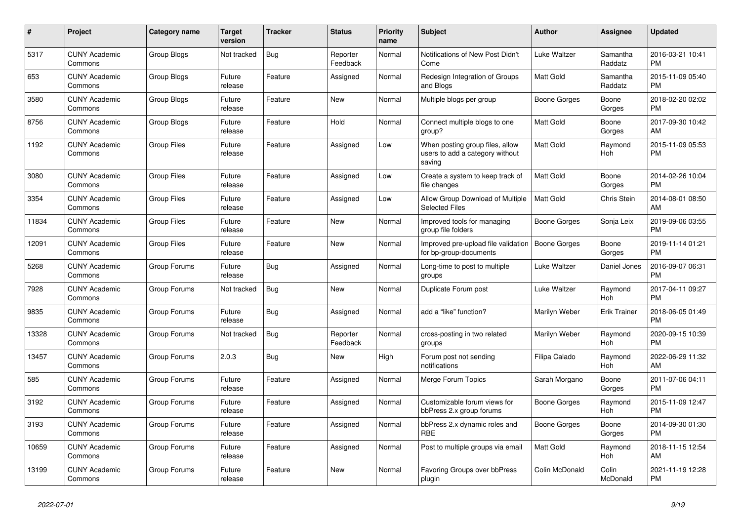| #     | <b>Project</b>                  | Category name      | <b>Target</b><br>version | <b>Tracker</b> | <b>Status</b>        | <b>Priority</b><br>name | <b>Subject</b>                                                               | <b>Author</b>    | Assignee            | <b>Updated</b>                |
|-------|---------------------------------|--------------------|--------------------------|----------------|----------------------|-------------------------|------------------------------------------------------------------------------|------------------|---------------------|-------------------------------|
| 5317  | <b>CUNY Academic</b><br>Commons | Group Blogs        | Not tracked              | <b>Bug</b>     | Reporter<br>Feedback | Normal                  | Notifications of New Post Didn't<br>Come                                     | Luke Waltzer     | Samantha<br>Raddatz | 2016-03-21 10:41<br><b>PM</b> |
| 653   | <b>CUNY Academic</b><br>Commons | Group Blogs        | Future<br>release        | Feature        | Assigned             | Normal                  | Redesign Integration of Groups<br>and Blogs                                  | <b>Matt Gold</b> | Samantha<br>Raddatz | 2015-11-09 05:40<br><b>PM</b> |
| 3580  | <b>CUNY Academic</b><br>Commons | Group Blogs        | Future<br>release        | Feature        | New                  | Normal                  | Multiple blogs per group                                                     | Boone Gorges     | Boone<br>Gorges     | 2018-02-20 02:02<br><b>PM</b> |
| 8756  | <b>CUNY Academic</b><br>Commons | Group Blogs        | Future<br>release        | Feature        | Hold                 | Normal                  | Connect multiple blogs to one<br>group?                                      | <b>Matt Gold</b> | Boone<br>Gorges     | 2017-09-30 10:42<br>AM        |
| 1192  | <b>CUNY Academic</b><br>Commons | <b>Group Files</b> | Future<br>release        | Feature        | Assigned             | Low                     | When posting group files, allow<br>users to add a category without<br>saving | <b>Matt Gold</b> | Raymond<br>Hoh      | 2015-11-09 05:53<br><b>PM</b> |
| 3080  | <b>CUNY Academic</b><br>Commons | <b>Group Files</b> | Future<br>release        | Feature        | Assigned             | Low                     | Create a system to keep track of<br>file changes                             | <b>Matt Gold</b> | Boone<br>Gorges     | 2014-02-26 10:04<br><b>PM</b> |
| 3354  | <b>CUNY Academic</b><br>Commons | <b>Group Files</b> | Future<br>release        | Feature        | Assigned             | Low                     | Allow Group Download of Multiple<br><b>Selected Files</b>                    | <b>Matt Gold</b> | <b>Chris Stein</b>  | 2014-08-01 08:50<br>AM        |
| 11834 | <b>CUNY Academic</b><br>Commons | <b>Group Files</b> | Future<br>release        | Feature        | New                  | Normal                  | Improved tools for managing<br>group file folders                            | Boone Gorges     | Sonja Leix          | 2019-09-06 03:55<br><b>PM</b> |
| 12091 | <b>CUNY Academic</b><br>Commons | <b>Group Files</b> | Future<br>release        | Feature        | New                  | Normal                  | Improved pre-upload file validation   Boone Gorges<br>for bp-group-documents |                  | Boone<br>Gorges     | 2019-11-14 01:21<br><b>PM</b> |
| 5268  | <b>CUNY Academic</b><br>Commons | Group Forums       | Future<br>release        | Bug            | Assigned             | Normal                  | Long-time to post to multiple<br>groups                                      | Luke Waltzer     | Daniel Jones        | 2016-09-07 06:31<br><b>PM</b> |
| 7928  | <b>CUNY Academic</b><br>Commons | Group Forums       | Not tracked              | Bug            | New                  | Normal                  | Duplicate Forum post                                                         | Luke Waltzer     | Raymond<br>Hoh      | 2017-04-11 09:27<br><b>PM</b> |
| 9835  | <b>CUNY Academic</b><br>Commons | Group Forums       | Future<br>release        | Bug            | Assigned             | Normal                  | add a "like" function?                                                       | Marilyn Weber    | <b>Erik Trainer</b> | 2018-06-05 01:49<br><b>PM</b> |
| 13328 | <b>CUNY Academic</b><br>Commons | Group Forums       | Not tracked              | Bug            | Reporter<br>Feedback | Normal                  | cross-posting in two related<br>groups                                       | Marilyn Weber    | Raymond<br>Hoh      | 2020-09-15 10:39<br><b>PM</b> |
| 13457 | <b>CUNY Academic</b><br>Commons | Group Forums       | 2.0.3                    | Bug            | <b>New</b>           | High                    | Forum post not sending<br>notifications                                      | Filipa Calado    | Raymond<br>Hoh      | 2022-06-29 11:32<br>AM        |
| 585   | <b>CUNY Academic</b><br>Commons | Group Forums       | Future<br>release        | Feature        | Assigned             | Normal                  | Merge Forum Topics                                                           | Sarah Morgano    | Boone<br>Gorges     | 2011-07-06 04:11<br><b>PM</b> |
| 3192  | <b>CUNY Academic</b><br>Commons | Group Forums       | Future<br>release        | Feature        | Assigned             | Normal                  | Customizable forum views for<br>bbPress 2.x group forums                     | Boone Gorges     | Raymond<br>Hoh      | 2015-11-09 12:47<br><b>PM</b> |
| 3193  | <b>CUNY Academic</b><br>Commons | Group Forums       | Future<br>release        | Feature        | Assigned             | Normal                  | bbPress 2.x dynamic roles and<br><b>RBE</b>                                  | Boone Gorges     | Boone<br>Gorges     | 2014-09-30 01:30<br><b>PM</b> |
| 10659 | <b>CUNY Academic</b><br>Commons | Group Forums       | Future<br>release        | Feature        | Assigned             | Normal                  | Post to multiple groups via email                                            | <b>Matt Gold</b> | Raymond<br>Hoh      | 2018-11-15 12:54<br>AM        |
| 13199 | <b>CUNY Academic</b><br>Commons | Group Forums       | Future<br>release        | Feature        | <b>New</b>           | Normal                  | Favoring Groups over bbPress<br>plugin                                       | Colin McDonald   | Colin<br>McDonald   | 2021-11-19 12:28<br><b>PM</b> |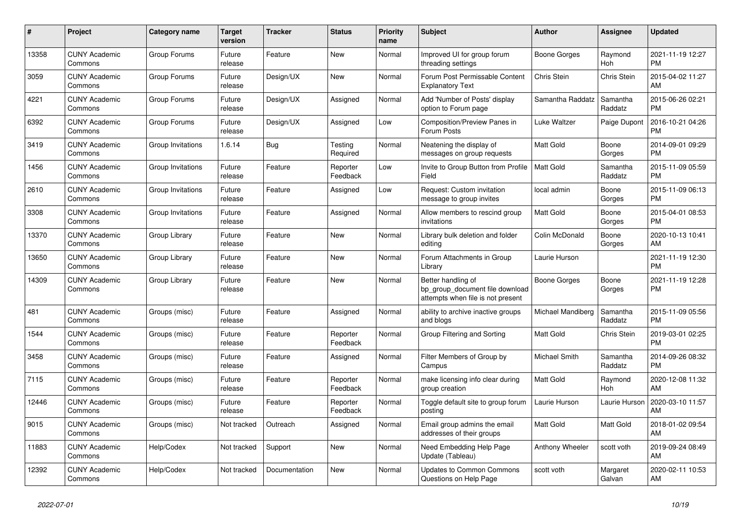| #     | Project                         | Category name     | Target<br>version | Tracker       | <b>Status</b>        | <b>Priority</b><br>name | <b>Subject</b>                                                                             | <b>Author</b>       | Assignee              | <b>Updated</b>                |
|-------|---------------------------------|-------------------|-------------------|---------------|----------------------|-------------------------|--------------------------------------------------------------------------------------------|---------------------|-----------------------|-------------------------------|
| 13358 | <b>CUNY Academic</b><br>Commons | Group Forums      | Future<br>release | Feature       | <b>New</b>           | Normal                  | Improved UI for group forum<br>threading settings                                          | Boone Gorges        | Raymond<br><b>Hoh</b> | 2021-11-19 12:27<br><b>PM</b> |
| 3059  | <b>CUNY Academic</b><br>Commons | Group Forums      | Future<br>release | Design/UX     | <b>New</b>           | Normal                  | Forum Post Permissable Content<br><b>Explanatory Text</b>                                  | Chris Stein         | <b>Chris Stein</b>    | 2015-04-02 11:27<br>AM        |
| 4221  | <b>CUNY Academic</b><br>Commons | Group Forums      | Future<br>release | Design/UX     | Assigned             | Normal                  | Add 'Number of Posts' display<br>option to Forum page                                      | Samantha Raddatz    | Samantha<br>Raddatz   | 2015-06-26 02:21<br><b>PM</b> |
| 6392  | <b>CUNY Academic</b><br>Commons | Group Forums      | Future<br>release | Design/UX     | Assigned             | Low                     | Composition/Preview Panes in<br>Forum Posts                                                | Luke Waltzer        | Paige Dupont          | 2016-10-21 04:26<br><b>PM</b> |
| 3419  | <b>CUNY Academic</b><br>Commons | Group Invitations | 1.6.14            | Bug           | Testing<br>Required  | Normal                  | Neatening the display of<br>messages on group requests                                     | Matt Gold           | Boone<br>Gorges       | 2014-09-01 09:29<br><b>PM</b> |
| 1456  | <b>CUNY Academic</b><br>Commons | Group Invitations | Future<br>release | Feature       | Reporter<br>Feedback | Low                     | Invite to Group Button from Profile<br>Field                                               | <b>Matt Gold</b>    | Samantha<br>Raddatz   | 2015-11-09 05:59<br><b>PM</b> |
| 2610  | <b>CUNY Academic</b><br>Commons | Group Invitations | Future<br>release | Feature       | Assigned             | Low                     | Request: Custom invitation<br>message to group invites                                     | local admin         | Boone<br>Gorges       | 2015-11-09 06:13<br><b>PM</b> |
| 3308  | <b>CUNY Academic</b><br>Commons | Group Invitations | Future<br>release | Feature       | Assigned             | Normal                  | Allow members to rescind group<br>invitations                                              | Matt Gold           | Boone<br>Gorges       | 2015-04-01 08:53<br><b>PM</b> |
| 13370 | <b>CUNY Academic</b><br>Commons | Group Library     | Future<br>release | Feature       | New                  | Normal                  | Library bulk deletion and folder<br>editing                                                | Colin McDonald      | Boone<br>Gorges       | 2020-10-13 10:41<br>AM        |
| 13650 | <b>CUNY Academic</b><br>Commons | Group Library     | Future<br>release | Feature       | New                  | Normal                  | Forum Attachments in Group<br>Library                                                      | Laurie Hurson       |                       | 2021-11-19 12:30<br><b>PM</b> |
| 14309 | <b>CUNY Academic</b><br>Commons | Group Library     | Future<br>release | Feature       | <b>New</b>           | Normal                  | Better handling of<br>bp_group_document file download<br>attempts when file is not present | <b>Boone Gorges</b> | Boone<br>Gorges       | 2021-11-19 12:28<br><b>PM</b> |
| 481   | <b>CUNY Academic</b><br>Commons | Groups (misc)     | Future<br>release | Feature       | Assigned             | Normal                  | ability to archive inactive groups<br>and blogs                                            | Michael Mandiberg   | Samantha<br>Raddatz   | 2015-11-09 05:56<br><b>PM</b> |
| 1544  | <b>CUNY Academic</b><br>Commons | Groups (misc)     | Future<br>release | Feature       | Reporter<br>Feedback | Normal                  | Group Filtering and Sorting                                                                | Matt Gold           | <b>Chris Stein</b>    | 2019-03-01 02:25<br><b>PM</b> |
| 3458  | <b>CUNY Academic</b><br>Commons | Groups (misc)     | Future<br>release | Feature       | Assigned             | Normal                  | Filter Members of Group by<br>Campus                                                       | Michael Smith       | Samantha<br>Raddatz   | 2014-09-26 08:32<br><b>PM</b> |
| 7115  | <b>CUNY Academic</b><br>Commons | Groups (misc)     | Future<br>release | Feature       | Reporter<br>Feedback | Normal                  | make licensing info clear during<br>group creation                                         | <b>Matt Gold</b>    | Raymond<br>Hoh        | 2020-12-08 11:32<br>AM        |
| 12446 | <b>CUNY Academic</b><br>Commons | Groups (misc)     | Future<br>release | Feature       | Reporter<br>Feedback | Normal                  | Toggle default site to group forum<br>postina                                              | Laurie Hurson       | Laurie Hurson         | 2020-03-10 11:57<br>AM        |
| 9015  | <b>CUNY Academic</b><br>Commons | Groups (misc)     | Not tracked       | Outreach      | Assigned             | Normal                  | Email group admins the email<br>addresses of their groups                                  | Matt Gold           | Matt Gold             | 2018-01-02 09:54<br>AM        |
| 11883 | <b>CUNY Academic</b><br>Commons | Help/Codex        | Not tracked       | Support       | New                  | Normal                  | Need Embedding Help Page<br>Update (Tableau)                                               | Anthony Wheeler     | scott voth            | 2019-09-24 08:49<br>AM        |
| 12392 | <b>CUNY Academic</b><br>Commons | Help/Codex        | Not tracked       | Documentation | <b>New</b>           | Normal                  | <b>Updates to Common Commons</b><br>Questions on Help Page                                 | scott voth          | Margaret<br>Galvan    | 2020-02-11 10:53<br>AM        |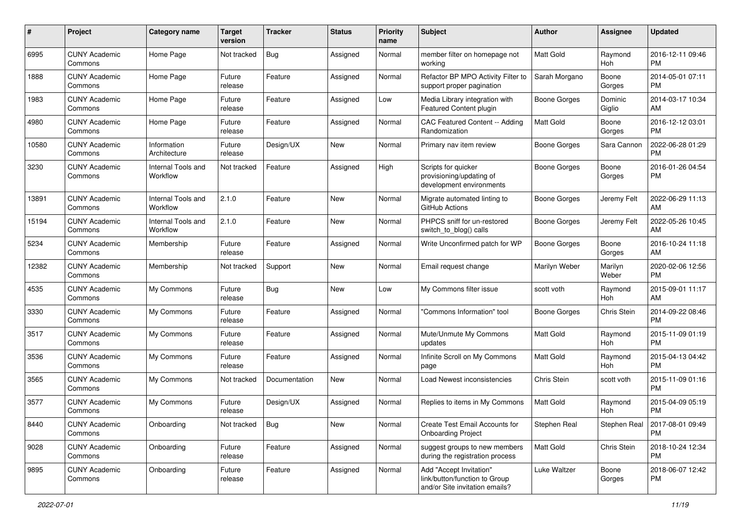| #     | Project                         | <b>Category name</b>           | <b>Target</b><br>version | <b>Tracker</b> | <b>Status</b> | Priority<br>name | <b>Subject</b>                                                                             | Author              | <b>Assignee</b>   | <b>Updated</b>                |
|-------|---------------------------------|--------------------------------|--------------------------|----------------|---------------|------------------|--------------------------------------------------------------------------------------------|---------------------|-------------------|-------------------------------|
| 6995  | <b>CUNY Academic</b><br>Commons | Home Page                      | Not tracked              | Bug            | Assigned      | Normal           | member filter on homepage not<br>workina                                                   | <b>Matt Gold</b>    | Raymond<br>Hoh    | 2016-12-11 09:46<br><b>PM</b> |
| 1888  | <b>CUNY Academic</b><br>Commons | Home Page                      | Future<br>release        | Feature        | Assigned      | Normal           | Refactor BP MPO Activity Filter to<br>support proper pagination                            | Sarah Morgano       | Boone<br>Gorges   | 2014-05-01 07:11<br><b>PM</b> |
| 1983  | <b>CUNY Academic</b><br>Commons | Home Page                      | Future<br>release        | Feature        | Assigned      | Low              | Media Library integration with<br>Featured Content plugin                                  | Boone Gorges        | Dominic<br>Giglio | 2014-03-17 10:34<br>AM        |
| 4980  | <b>CUNY Academic</b><br>Commons | Home Page                      | Future<br>release        | Feature        | Assigned      | Normal           | CAC Featured Content -- Adding<br>Randomization                                            | <b>Matt Gold</b>    | Boone<br>Gorges   | 2016-12-12 03:01<br><b>PM</b> |
| 10580 | <b>CUNY Academic</b><br>Commons | Information<br>Architecture    | Future<br>release        | Design/UX      | New           | Normal           | Primary nav item review                                                                    | <b>Boone Gorges</b> | Sara Cannon       | 2022-06-28 01:29<br><b>PM</b> |
| 3230  | <b>CUNY Academic</b><br>Commons | Internal Tools and<br>Workflow | Not tracked              | Feature        | Assigned      | High             | Scripts for quicker<br>provisioning/updating of<br>development environments                | <b>Boone Gorges</b> | Boone<br>Gorges   | 2016-01-26 04:54<br><b>PM</b> |
| 13891 | <b>CUNY Academic</b><br>Commons | Internal Tools and<br>Workflow | 2.1.0                    | Feature        | New           | Normal           | Migrate automated linting to<br>GitHub Actions                                             | <b>Boone Gorges</b> | Jeremy Felt       | 2022-06-29 11:13<br>AM        |
| 15194 | <b>CUNY Academic</b><br>Commons | Internal Tools and<br>Workflow | 2.1.0                    | Feature        | New           | Normal           | PHPCS sniff for un-restored<br>switch_to_blog() calls                                      | <b>Boone Gorges</b> | Jeremy Felt       | 2022-05-26 10:45<br>AM        |
| 5234  | <b>CUNY Academic</b><br>Commons | Membership                     | Future<br>release        | Feature        | Assigned      | Normal           | Write Unconfirmed patch for WP                                                             | <b>Boone Gorges</b> | Boone<br>Gorges   | 2016-10-24 11:18<br>AM        |
| 12382 | <b>CUNY Academic</b><br>Commons | Membership                     | Not tracked              | Support        | New           | Normal           | Email request change                                                                       | Marilyn Weber       | Marilyn<br>Weber  | 2020-02-06 12:56<br><b>PM</b> |
| 4535  | <b>CUNY Academic</b><br>Commons | My Commons                     | Future<br>release        | Bug            | New           | Low              | My Commons filter issue                                                                    | scott voth          | Raymond<br>Hoh    | 2015-09-01 11:17<br>AM        |
| 3330  | <b>CUNY Academic</b><br>Commons | My Commons                     | Future<br>release        | Feature        | Assigned      | Normal           | "Commons Information" tool                                                                 | Boone Gorges        | Chris Stein       | 2014-09-22 08:46<br><b>PM</b> |
| 3517  | <b>CUNY Academic</b><br>Commons | My Commons                     | Future<br>release        | Feature        | Assigned      | Normal           | Mute/Unmute My Commons<br>updates                                                          | <b>Matt Gold</b>    | Raymond<br>Hoh    | 2015-11-09 01:19<br><b>PM</b> |
| 3536  | <b>CUNY Academic</b><br>Commons | My Commons                     | Future<br>release        | Feature        | Assigned      | Normal           | Infinite Scroll on My Commons<br>page                                                      | <b>Matt Gold</b>    | Raymond<br>Hoh    | 2015-04-13 04:42<br><b>PM</b> |
| 3565  | <b>CUNY Academic</b><br>Commons | My Commons                     | Not tracked              | Documentation  | New           | Normal           | Load Newest inconsistencies                                                                | Chris Stein         | scott voth        | 2015-11-09 01:16<br><b>PM</b> |
| 3577  | <b>CUNY Academic</b><br>Commons | My Commons                     | Future<br>release        | Design/UX      | Assigned      | Normal           | Replies to items in My Commons                                                             | <b>Matt Gold</b>    | Raymond<br>Hoh    | 2015-04-09 05:19<br><b>PM</b> |
| 8440  | <b>CUNY Academic</b><br>Commons | Onboarding                     | Not tracked              | Bug            | New           | Normal           | Create Test Email Accounts for<br><b>Onboarding Project</b>                                | Stephen Real        | Stephen Real      | 2017-08-01 09:49<br><b>PM</b> |
| 9028  | <b>CUNY Academic</b><br>Commons | Onboarding                     | Future<br>release        | Feature        | Assigned      | Normal           | suggest groups to new members<br>during the registration process                           | Matt Gold           | Chris Stein       | 2018-10-24 12:34<br><b>PM</b> |
| 9895  | <b>CUNY Academic</b><br>Commons | Onboarding                     | Future<br>release        | Feature        | Assigned      | Normal           | Add "Accept Invitation"<br>link/button/function to Group<br>and/or Site invitation emails? | Luke Waltzer        | Boone<br>Gorges   | 2018-06-07 12:42<br><b>PM</b> |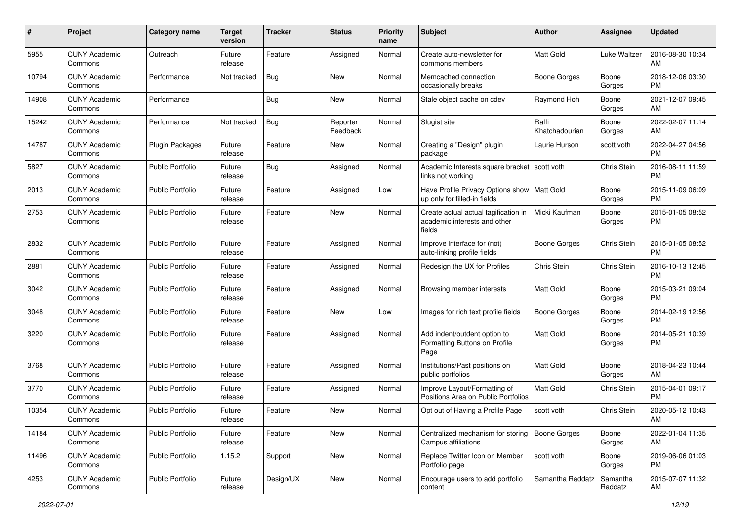| #     | Project                         | <b>Category name</b>    | <b>Target</b><br>version | <b>Tracker</b> | <b>Status</b>        | Priority<br>name | <b>Subject</b>                                                                 | Author                  | <b>Assignee</b>     | <b>Updated</b>                |
|-------|---------------------------------|-------------------------|--------------------------|----------------|----------------------|------------------|--------------------------------------------------------------------------------|-------------------------|---------------------|-------------------------------|
| 5955  | <b>CUNY Academic</b><br>Commons | Outreach                | Future<br>release        | Feature        | Assigned             | Normal           | Create auto-newsletter for<br>commons members                                  | <b>Matt Gold</b>        | Luke Waltzer        | 2016-08-30 10:34<br>AM        |
| 10794 | <b>CUNY Academic</b><br>Commons | Performance             | Not tracked              | <b>Bug</b>     | New                  | Normal           | Memcached connection<br>occasionally breaks                                    | <b>Boone Gorges</b>     | Boone<br>Gorges     | 2018-12-06 03:30<br><b>PM</b> |
| 14908 | <b>CUNY Academic</b><br>Commons | Performance             |                          | Bug            | New                  | Normal           | Stale object cache on cdev                                                     | Raymond Hoh             | Boone<br>Gorges     | 2021-12-07 09:45<br>AM        |
| 15242 | <b>CUNY Academic</b><br>Commons | Performance             | Not tracked              | Bug            | Reporter<br>Feedback | Normal           | Slugist site                                                                   | Raffi<br>Khatchadourian | Boone<br>Gorges     | 2022-02-07 11:14<br>AM        |
| 14787 | <b>CUNY Academic</b><br>Commons | Plugin Packages         | Future<br>release        | Feature        | New                  | Normal           | Creating a "Design" plugin<br>package                                          | Laurie Hurson           | scott voth          | 2022-04-27 04:56<br><b>PM</b> |
| 5827  | <b>CUNY Academic</b><br>Commons | <b>Public Portfolio</b> | Future<br>release        | Bug            | Assigned             | Normal           | Academic Interests square bracket   scott voth<br>links not working            |                         | Chris Stein         | 2016-08-11 11:59<br><b>PM</b> |
| 2013  | <b>CUNY Academic</b><br>Commons | <b>Public Portfolio</b> | Future<br>release        | Feature        | Assigned             | Low              | Have Profile Privacy Options show<br>up only for filled-in fields              | Matt Gold               | Boone<br>Gorges     | 2015-11-09 06:09<br><b>PM</b> |
| 2753  | <b>CUNY Academic</b><br>Commons | <b>Public Portfolio</b> | Future<br>release        | Feature        | New                  | Normal           | Create actual actual tagification in<br>academic interests and other<br>fields | Micki Kaufman           | Boone<br>Gorges     | 2015-01-05 08:52<br><b>PM</b> |
| 2832  | <b>CUNY Academic</b><br>Commons | <b>Public Portfolio</b> | Future<br>release        | Feature        | Assigned             | Normal           | Improve interface for (not)<br>auto-linking profile fields                     | <b>Boone Gorges</b>     | Chris Stein         | 2015-01-05 08:52<br><b>PM</b> |
| 2881  | <b>CUNY Academic</b><br>Commons | <b>Public Portfolio</b> | Future<br>release        | Feature        | Assigned             | Normal           | Redesign the UX for Profiles                                                   | Chris Stein             | Chris Stein         | 2016-10-13 12:45<br><b>PM</b> |
| 3042  | <b>CUNY Academic</b><br>Commons | <b>Public Portfolio</b> | Future<br>release        | Feature        | Assigned             | Normal           | Browsing member interests                                                      | Matt Gold               | Boone<br>Gorges     | 2015-03-21 09:04<br>PM        |
| 3048  | CUNY Academic<br>Commons        | <b>Public Portfolio</b> | Future<br>release        | Feature        | New                  | Low              | Images for rich text profile fields                                            | Boone Gorges            | Boone<br>Gorges     | 2014-02-19 12:56<br><b>PM</b> |
| 3220  | <b>CUNY Academic</b><br>Commons | <b>Public Portfolio</b> | Future<br>release        | Feature        | Assigned             | Normal           | Add indent/outdent option to<br>Formatting Buttons on Profile<br>Page          | <b>Matt Gold</b>        | Boone<br>Gorges     | 2014-05-21 10:39<br><b>PM</b> |
| 3768  | <b>CUNY Academic</b><br>Commons | <b>Public Portfolio</b> | Future<br>release        | Feature        | Assigned             | Normal           | Institutions/Past positions on<br>public portfolios                            | <b>Matt Gold</b>        | Boone<br>Gorges     | 2018-04-23 10:44<br>AM        |
| 3770  | <b>CUNY Academic</b><br>Commons | <b>Public Portfolio</b> | Future<br>release        | Feature        | Assigned             | Normal           | Improve Layout/Formatting of<br>Positions Area on Public Portfolios            | Matt Gold               | Chris Stein         | 2015-04-01 09:17<br><b>PM</b> |
| 10354 | <b>CUNY Academic</b><br>Commons | Public Portfolio        | Future<br>release        | Feature        | New                  | Normal           | Opt out of Having a Profile Page                                               | scott voth              | Chris Stein         | 2020-05-12 10:43<br>AM        |
| 14184 | <b>CUNY Academic</b><br>Commons | Public Portfolio        | Future<br>release        | Feature        | New                  | Normal           | Centralized mechanism for storing   Boone Gorges<br>Campus affiliations        |                         | Boone<br>Gorges     | 2022-01-04 11:35<br>AM        |
| 11496 | <b>CUNY Academic</b><br>Commons | Public Portfolio        | 1.15.2                   | Support        | New                  | Normal           | Replace Twitter Icon on Member<br>Portfolio page                               | scott voth              | Boone<br>Gorges     | 2019-06-06 01:03<br><b>PM</b> |
| 4253  | <b>CUNY Academic</b><br>Commons | Public Portfolio        | Future<br>release        | Design/UX      | New                  | Normal           | Encourage users to add portfolio<br>content                                    | Samantha Raddatz        | Samantha<br>Raddatz | 2015-07-07 11:32<br>AM        |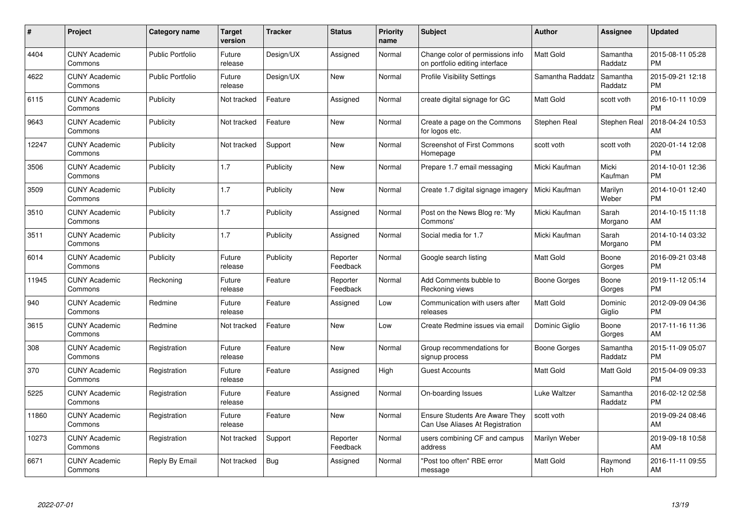| #     | Project                         | <b>Category name</b>    | <b>Target</b><br>version | <b>Tracker</b> | <b>Status</b>        | <b>Priority</b><br>name | <b>Subject</b>                                                           | <b>Author</b>    | Assignee            | <b>Updated</b>                |
|-------|---------------------------------|-------------------------|--------------------------|----------------|----------------------|-------------------------|--------------------------------------------------------------------------|------------------|---------------------|-------------------------------|
| 4404  | <b>CUNY Academic</b><br>Commons | <b>Public Portfolio</b> | Future<br>release        | Design/UX      | Assigned             | Normal                  | Change color of permissions info<br>on portfolio editing interface       | <b>Matt Gold</b> | Samantha<br>Raddatz | 2015-08-11 05:28<br><b>PM</b> |
| 4622  | <b>CUNY Academic</b><br>Commons | <b>Public Portfolio</b> | Future<br>release        | Design/UX      | New                  | Normal                  | <b>Profile Visibility Settings</b>                                       | Samantha Raddatz | Samantha<br>Raddatz | 2015-09-21 12:18<br><b>PM</b> |
| 6115  | <b>CUNY Academic</b><br>Commons | Publicity               | Not tracked              | Feature        | Assigned             | Normal                  | create digital signage for GC                                            | Matt Gold        | scott voth          | 2016-10-11 10:09<br><b>PM</b> |
| 9643  | <b>CUNY Academic</b><br>Commons | Publicity               | Not tracked              | Feature        | New                  | Normal                  | Create a page on the Commons<br>for logos etc.                           | Stephen Real     | Stephen Real        | 2018-04-24 10:53<br>AM        |
| 12247 | <b>CUNY Academic</b><br>Commons | Publicity               | Not tracked              | Support        | <b>New</b>           | Normal                  | <b>Screenshot of First Commons</b><br>Homepage                           | scott voth       | scott voth          | 2020-01-14 12:08<br><b>PM</b> |
| 3506  | <b>CUNY Academic</b><br>Commons | Publicity               | 1.7                      | Publicity      | <b>New</b>           | Normal                  | Prepare 1.7 email messaging                                              | Micki Kaufman    | Micki<br>Kaufman    | 2014-10-01 12:36<br><b>PM</b> |
| 3509  | <b>CUNY Academic</b><br>Commons | Publicity               | 1.7                      | Publicity      | <b>New</b>           | Normal                  | Create 1.7 digital signage imagery                                       | Micki Kaufman    | Marilyn<br>Weber    | 2014-10-01 12:40<br><b>PM</b> |
| 3510  | <b>CUNY Academic</b><br>Commons | Publicity               | 1.7                      | Publicity      | Assigned             | Normal                  | Post on the News Blog re: 'My<br>Commons'                                | Micki Kaufman    | Sarah<br>Morgano    | 2014-10-15 11:18<br>AM        |
| 3511  | <b>CUNY Academic</b><br>Commons | Publicity               | 1.7                      | Publicity      | Assigned             | Normal                  | Social media for 1.7                                                     | Micki Kaufman    | Sarah<br>Morgano    | 2014-10-14 03:32<br><b>PM</b> |
| 6014  | <b>CUNY Academic</b><br>Commons | Publicity               | Future<br>release        | Publicity      | Reporter<br>Feedback | Normal                  | Google search listing                                                    | <b>Matt Gold</b> | Boone<br>Gorges     | 2016-09-21 03:48<br><b>PM</b> |
| 11945 | <b>CUNY Academic</b><br>Commons | Reckoning               | Future<br>release        | Feature        | Reporter<br>Feedback | Normal                  | Add Comments bubble to<br>Reckoning views                                | Boone Gorges     | Boone<br>Gorges     | 2019-11-12 05:14<br><b>PM</b> |
| 940   | <b>CUNY Academic</b><br>Commons | Redmine                 | Future<br>release        | Feature        | Assigned             | Low                     | Communication with users after<br>releases                               | Matt Gold        | Dominic<br>Giglio   | 2012-09-09 04:36<br><b>PM</b> |
| 3615  | <b>CUNY Academic</b><br>Commons | Redmine                 | Not tracked              | Feature        | New                  | Low                     | Create Redmine issues via email                                          | Dominic Giglio   | Boone<br>Gorges     | 2017-11-16 11:36<br>AM        |
| 308   | <b>CUNY Academic</b><br>Commons | Registration            | Future<br>release        | Feature        | New                  | Normal                  | Group recommendations for<br>signup process                              | Boone Gorges     | Samantha<br>Raddatz | 2015-11-09 05:07<br><b>PM</b> |
| 370   | <b>CUNY Academic</b><br>Commons | Registration            | Future<br>release        | Feature        | Assigned             | High                    | <b>Guest Accounts</b>                                                    | Matt Gold        | Matt Gold           | 2015-04-09 09:33<br><b>PM</b> |
| 5225  | <b>CUNY Academic</b><br>Commons | Registration            | Future<br>release        | Feature        | Assigned             | Normal                  | On-boarding Issues                                                       | Luke Waltzer     | Samantha<br>Raddatz | 2016-02-12 02:58<br><b>PM</b> |
| 11860 | <b>CUNY Academic</b><br>Commons | Registration            | Future<br>release        | Feature        | New                  | Normal                  | <b>Ensure Students Are Aware They</b><br>Can Use Aliases At Registration | scott voth       |                     | 2019-09-24 08:46<br>AM        |
| 10273 | <b>CUNY Academic</b><br>Commons | Registration            | Not tracked              | Support        | Reporter<br>Feedback | Normal                  | users combining CF and campus<br>address                                 | Marilyn Weber    |                     | 2019-09-18 10:58<br>AM        |
| 6671  | CUNY Academic<br>Commons        | Reply By Email          | Not tracked              | <b>Bug</b>     | Assigned             | Normal                  | "Post too often" RBE error<br>message                                    | <b>Matt Gold</b> | Raymond<br>Hoh      | 2016-11-11 09:55<br>AM        |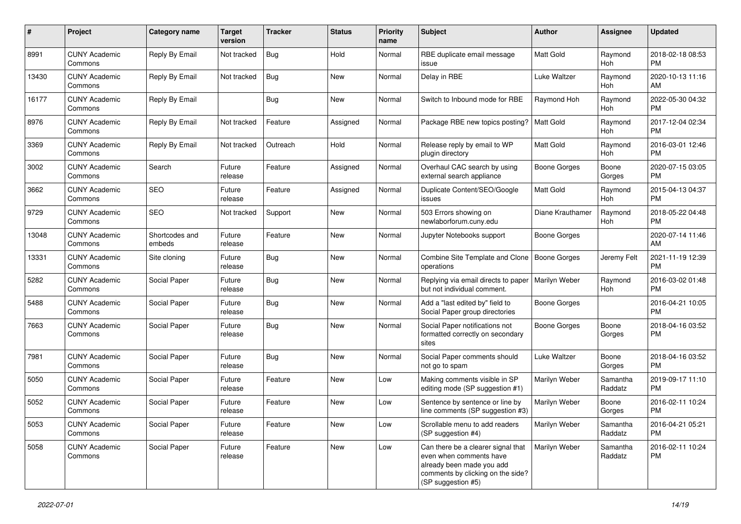| #     | Project                         | <b>Category name</b>     | <b>Target</b><br>version | <b>Tracker</b> | <b>Status</b> | Priority<br>name | <b>Subject</b>                                                                                                                                        | Author              | <b>Assignee</b>     | <b>Updated</b>                |
|-------|---------------------------------|--------------------------|--------------------------|----------------|---------------|------------------|-------------------------------------------------------------------------------------------------------------------------------------------------------|---------------------|---------------------|-------------------------------|
| 8991  | <b>CUNY Academic</b><br>Commons | Reply By Email           | Not tracked              | <b>Bug</b>     | Hold          | Normal           | RBE duplicate email message<br>issue                                                                                                                  | <b>Matt Gold</b>    | Raymond<br>Hoh      | 2018-02-18 08:53<br><b>PM</b> |
| 13430 | <b>CUNY Academic</b><br>Commons | Reply By Email           | Not tracked              | <b>Bug</b>     | New           | Normal           | Delay in RBE                                                                                                                                          | Luke Waltzer        | Raymond<br>Hoh      | 2020-10-13 11:16<br>AM        |
| 16177 | <b>CUNY Academic</b><br>Commons | Reply By Email           |                          | Bug            | New           | Normal           | Switch to Inbound mode for RBE                                                                                                                        | Raymond Hoh         | Raymond<br>Hoh      | 2022-05-30 04:32<br><b>PM</b> |
| 8976  | <b>CUNY Academic</b><br>Commons | Reply By Email           | Not tracked              | Feature        | Assigned      | Normal           | Package RBE new topics posting?                                                                                                                       | <b>Matt Gold</b>    | Raymond<br>Hoh      | 2017-12-04 02:34<br><b>PM</b> |
| 3369  | <b>CUNY Academic</b><br>Commons | Reply By Email           | Not tracked              | Outreach       | Hold          | Normal           | Release reply by email to WP<br>plugin directory                                                                                                      | <b>Matt Gold</b>    | Raymond<br>Hoh      | 2016-03-01 12:46<br><b>PM</b> |
| 3002  | <b>CUNY Academic</b><br>Commons | Search                   | Future<br>release        | Feature        | Assigned      | Normal           | Overhaul CAC search by using<br>external search appliance                                                                                             | <b>Boone Gorges</b> | Boone<br>Gorges     | 2020-07-15 03:05<br><b>PM</b> |
| 3662  | <b>CUNY Academic</b><br>Commons | SEO                      | Future<br>release        | Feature        | Assigned      | Normal           | Duplicate Content/SEO/Google<br>issues                                                                                                                | <b>Matt Gold</b>    | Raymond<br>Hoh      | 2015-04-13 04:37<br><b>PM</b> |
| 9729  | <b>CUNY Academic</b><br>Commons | <b>SEO</b>               | Not tracked              | Support        | New           | Normal           | 503 Errors showing on<br>newlaborforum.cuny.edu                                                                                                       | Diane Krauthamer    | Raymond<br>Hoh      | 2018-05-22 04:48<br><b>PM</b> |
| 13048 | <b>CUNY Academic</b><br>Commons | Shortcodes and<br>embeds | Future<br>release        | Feature        | New           | Normal           | Jupyter Notebooks support                                                                                                                             | Boone Gorges        |                     | 2020-07-14 11:46<br>AM        |
| 13331 | <b>CUNY Academic</b><br>Commons | Site cloning             | Future<br>release        | Bug            | New           | Normal           | Combine Site Template and Clone<br>operations                                                                                                         | <b>Boone Gorges</b> | Jeremy Felt         | 2021-11-19 12:39<br><b>PM</b> |
| 5282  | CUNY Academic<br>Commons        | Social Paper             | Future<br>release        | Bug            | New           | Normal           | Replying via email directs to paper<br>but not individual comment.                                                                                    | Marilyn Weber       | Raymond<br>Hoh      | 2016-03-02 01:48<br><b>PM</b> |
| 5488  | <b>CUNY Academic</b><br>Commons | Social Paper             | Future<br>release        | <b>Bug</b>     | <b>New</b>    | Normal           | Add a "last edited by" field to<br>Social Paper group directories                                                                                     | <b>Boone Gorges</b> |                     | 2016-04-21 10:05<br><b>PM</b> |
| 7663  | <b>CUNY Academic</b><br>Commons | Social Paper             | Future<br>release        | Bug            | New           | Normal           | Social Paper notifications not<br>formatted correctly on secondary<br>sites                                                                           | <b>Boone Gorges</b> | Boone<br>Gorges     | 2018-04-16 03:52<br><b>PM</b> |
| 7981  | <b>CUNY Academic</b><br>Commons | Social Paper             | Future<br>release        | Bug            | New           | Normal           | Social Paper comments should<br>not go to spam                                                                                                        | Luke Waltzer        | Boone<br>Gorges     | 2018-04-16 03:52<br><b>PM</b> |
| 5050  | <b>CUNY Academic</b><br>Commons | Social Paper             | Future<br>release        | Feature        | New           | Low              | Making comments visible in SP<br>editing mode (SP suggestion #1)                                                                                      | Marilyn Weber       | Samantha<br>Raddatz | 2019-09-17 11:10<br><b>PM</b> |
| 5052  | <b>CUNY Academic</b><br>Commons | Social Paper             | Future<br>release        | Feature        | New           | Low              | Sentence by sentence or line by<br>line comments (SP suggestion #3)                                                                                   | Marilyn Weber       | Boone<br>Gorges     | 2016-02-11 10:24<br><b>PM</b> |
| 5053  | <b>CUNY Academic</b><br>Commons | Social Paper             | Future<br>release        | Feature        | New           | Low              | Scrollable menu to add readers<br>(SP suggestion #4)                                                                                                  | Marilyn Weber       | Samantha<br>Raddatz | 2016-04-21 05:21<br><b>PM</b> |
| 5058  | <b>CUNY Academic</b><br>Commons | Social Paper             | Future<br>release        | Feature        | New           | Low              | Can there be a clearer signal that<br>even when comments have<br>already been made you add<br>comments by clicking on the side?<br>(SP suggestion #5) | Marilyn Weber       | Samantha<br>Raddatz | 2016-02-11 10:24<br><b>PM</b> |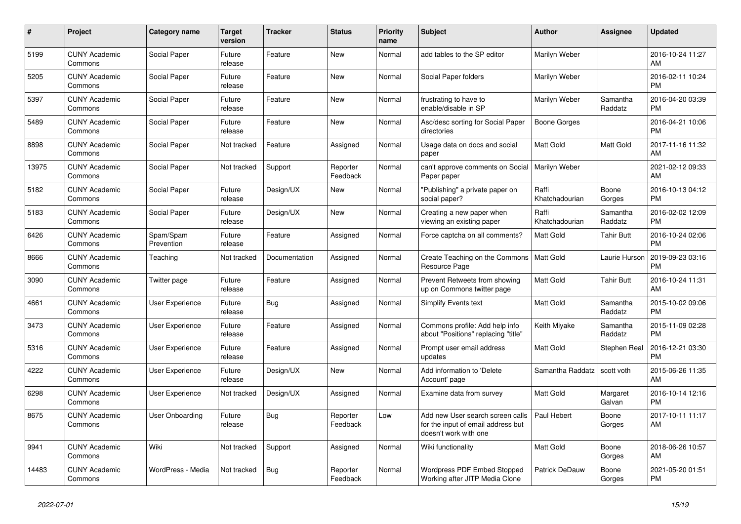| $\#$  | Project                         | <b>Category name</b>    | <b>Target</b><br>version | <b>Tracker</b> | <b>Status</b>        | <b>Priority</b><br>name | <b>Subject</b>                                                                                  | <b>Author</b>           | Assignee            | <b>Updated</b>                |
|-------|---------------------------------|-------------------------|--------------------------|----------------|----------------------|-------------------------|-------------------------------------------------------------------------------------------------|-------------------------|---------------------|-------------------------------|
| 5199  | <b>CUNY Academic</b><br>Commons | Social Paper            | Future<br>release        | Feature        | <b>New</b>           | Normal                  | add tables to the SP editor                                                                     | Marilyn Weber           |                     | 2016-10-24 11:27<br>AM        |
| 5205  | <b>CUNY Academic</b><br>Commons | Social Paper            | Future<br>release        | Feature        | <b>New</b>           | Normal                  | Social Paper folders                                                                            | Marilyn Weber           |                     | 2016-02-11 10:24<br><b>PM</b> |
| 5397  | <b>CUNY Academic</b><br>Commons | Social Paper            | Future<br>release        | Feature        | New                  | Normal                  | frustrating to have to<br>enable/disable in SP                                                  | Marilyn Weber           | Samantha<br>Raddatz | 2016-04-20 03:39<br><b>PM</b> |
| 5489  | <b>CUNY Academic</b><br>Commons | Social Paper            | Future<br>release        | Feature        | <b>New</b>           | Normal                  | Asc/desc sorting for Social Paper<br>directories                                                | <b>Boone Gorges</b>     |                     | 2016-04-21 10:06<br><b>PM</b> |
| 8898  | <b>CUNY Academic</b><br>Commons | Social Paper            | Not tracked              | Feature        | Assigned             | Normal                  | Usage data on docs and social<br>paper                                                          | Matt Gold               | Matt Gold           | 2017-11-16 11:32<br>AM        |
| 13975 | <b>CUNY Academic</b><br>Commons | Social Paper            | Not tracked              | Support        | Reporter<br>Feedback | Normal                  | can't approve comments on Social<br>Paper paper                                                 | Marilyn Weber           |                     | 2021-02-12 09:33<br>AM        |
| 5182  | <b>CUNY Academic</b><br>Commons | Social Paper            | Future<br>release        | Design/UX      | <b>New</b>           | Normal                  | "Publishing" a private paper on<br>social paper?                                                | Raffi<br>Khatchadourian | Boone<br>Gorges     | 2016-10-13 04:12<br><b>PM</b> |
| 5183  | <b>CUNY Academic</b><br>Commons | Social Paper            | Future<br>release        | Design/UX      | <b>New</b>           | Normal                  | Creating a new paper when<br>viewing an existing paper                                          | Raffi<br>Khatchadourian | Samantha<br>Raddatz | 2016-02-02 12:09<br><b>PM</b> |
| 6426  | <b>CUNY Academic</b><br>Commons | Spam/Spam<br>Prevention | Future<br>release        | Feature        | Assigned             | Normal                  | Force captcha on all comments?                                                                  | <b>Matt Gold</b>        | <b>Tahir Butt</b>   | 2016-10-24 02:06<br><b>PM</b> |
| 8666  | <b>CUNY Academic</b><br>Commons | Teaching                | Not tracked              | Documentation  | Assigned             | Normal                  | Create Teaching on the Commons<br>Resource Page                                                 | <b>Matt Gold</b>        | Laurie Hurson       | 2019-09-23 03:16<br><b>PM</b> |
| 3090  | <b>CUNY Academic</b><br>Commons | Twitter page            | Future<br>release        | Feature        | Assigned             | Normal                  | Prevent Retweets from showing<br>up on Commons twitter page                                     | Matt Gold               | <b>Tahir Butt</b>   | 2016-10-24 11:31<br>AM        |
| 4661  | <b>CUNY Academic</b><br>Commons | User Experience         | Future<br>release        | Bug            | Assigned             | Normal                  | Simplify Events text                                                                            | <b>Matt Gold</b>        | Samantha<br>Raddatz | 2015-10-02 09:06<br><b>PM</b> |
| 3473  | <b>CUNY Academic</b><br>Commons | <b>User Experience</b>  | Future<br>release        | Feature        | Assigned             | Normal                  | Commons profile: Add help info<br>about "Positions" replacing "title"                           | Keith Miyake            | Samantha<br>Raddatz | 2015-11-09 02:28<br><b>PM</b> |
| 5316  | <b>CUNY Academic</b><br>Commons | User Experience         | Future<br>release        | Feature        | Assigned             | Normal                  | Prompt user email address<br>updates                                                            | <b>Matt Gold</b>        | Stephen Real        | 2016-12-21 03:30<br><b>PM</b> |
| 4222  | <b>CUNY Academic</b><br>Commons | User Experience         | Future<br>release        | Design/UX      | <b>New</b>           | Normal                  | Add information to 'Delete<br>Account' page                                                     | Samantha Raddatz        | scott voth          | 2015-06-26 11:35<br>AM        |
| 6298  | <b>CUNY Academic</b><br>Commons | User Experience         | Not tracked              | Design/UX      | Assigned             | Normal                  | Examine data from survey                                                                        | Matt Gold               | Margaret<br>Galvan  | 2016-10-14 12:16<br><b>PM</b> |
| 8675  | <b>CUNY Academic</b><br>Commons | User Onboarding         | Future<br>release        | Bug            | Reporter<br>Feedback | Low                     | Add new User search screen calls<br>for the input of email address but<br>doesn't work with one | Paul Hebert             | Boone<br>Gorges     | 2017-10-11 11:17<br>AM        |
| 9941  | <b>CUNY Academic</b><br>Commons | Wiki                    | Not tracked              | Support        | Assigned             | Normal                  | Wiki functionality                                                                              | Matt Gold               | Boone<br>Gorges     | 2018-06-26 10:57<br>AM        |
| 14483 | <b>CUNY Academic</b><br>Commons | WordPress - Media       | Not tracked              | Bug            | Reporter<br>Feedback | Normal                  | <b>Wordpress PDF Embed Stopped</b><br>Working after JITP Media Clone                            | Patrick DeDauw          | Boone<br>Gorges     | 2021-05-20 01:51<br><b>PM</b> |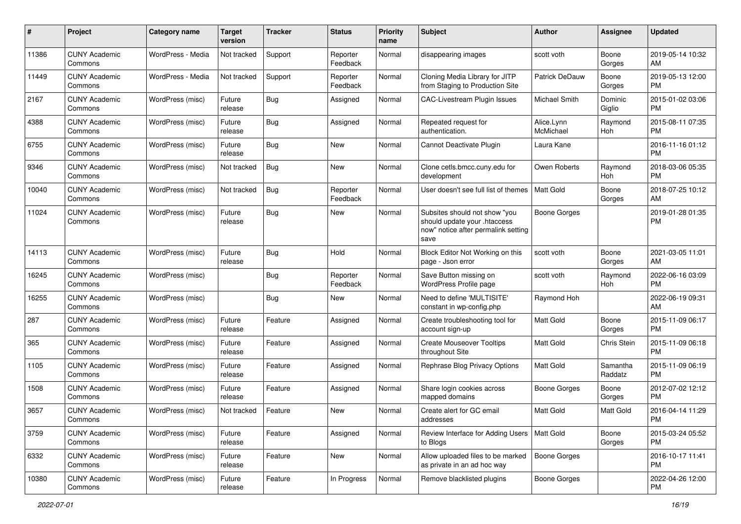| #     | Project                         | <b>Category name</b> | <b>Target</b><br>version | <b>Tracker</b> | <b>Status</b>        | Priority<br>name | <b>Subject</b>                                                                                               | Author                  | <b>Assignee</b>     | <b>Updated</b>                |
|-------|---------------------------------|----------------------|--------------------------|----------------|----------------------|------------------|--------------------------------------------------------------------------------------------------------------|-------------------------|---------------------|-------------------------------|
| 11386 | <b>CUNY Academic</b><br>Commons | WordPress - Media    | Not tracked              | Support        | Reporter<br>Feedback | Normal           | disappearing images                                                                                          | scott voth              | Boone<br>Gorges     | 2019-05-14 10:32<br>AM        |
| 11449 | <b>CUNY Academic</b><br>Commons | WordPress - Media    | Not tracked              | Support        | Reporter<br>Feedback | Normal           | Cloning Media Library for JITP<br>from Staging to Production Site                                            | Patrick DeDauw          | Boone<br>Gorges     | 2019-05-13 12:00<br><b>PM</b> |
| 2167  | <b>CUNY Academic</b><br>Commons | WordPress (misc)     | Future<br>release        | Bug            | Assigned             | Normal           | <b>CAC-Livestream Plugin Issues</b>                                                                          | Michael Smith           | Dominic<br>Giglio   | 2015-01-02 03:06<br><b>PM</b> |
| 4388  | <b>CUNY Academic</b><br>Commons | WordPress (misc)     | Future<br>release        | <b>Bug</b>     | Assigned             | Normal           | Repeated request for<br>authentication.                                                                      | Alice.Lynn<br>McMichael | Raymond<br>Hoh      | 2015-08-11 07:35<br><b>PM</b> |
| 6755  | <b>CUNY Academic</b><br>Commons | WordPress (misc)     | Future<br>release        | <b>Bug</b>     | New                  | Normal           | Cannot Deactivate Plugin                                                                                     | Laura Kane              |                     | 2016-11-16 01:12<br><b>PM</b> |
| 9346  | <b>CUNY Academic</b><br>Commons | WordPress (misc)     | Not tracked              | <b>Bug</b>     | New                  | Normal           | Clone cetls.bmcc.cuny.edu for<br>development                                                                 | Owen Roberts            | Raymond<br>Hoh      | 2018-03-06 05:35<br><b>PM</b> |
| 10040 | <b>CUNY Academic</b><br>Commons | WordPress (misc)     | Not tracked              | Bug            | Reporter<br>Feedback | Normal           | User doesn't see full list of themes                                                                         | <b>Matt Gold</b>        | Boone<br>Gorges     | 2018-07-25 10:12<br>AM        |
| 11024 | <b>CUNY Academic</b><br>Commons | WordPress (misc)     | Future<br>release        | Bug            | New                  | Normal           | Subsites should not show "you<br>should update your .htaccess<br>now" notice after permalink setting<br>save | <b>Boone Gorges</b>     |                     | 2019-01-28 01:35<br><b>PM</b> |
| 14113 | <b>CUNY Academic</b><br>Commons | WordPress (misc)     | Future<br>release        | Bug            | Hold                 | Normal           | Block Editor Not Working on this<br>page - Json error                                                        | scott voth              | Boone<br>Gorges     | 2021-03-05 11:01<br>AM        |
| 16245 | <b>CUNY Academic</b><br>Commons | WordPress (misc)     |                          | <b>Bug</b>     | Reporter<br>Feedback | Normal           | Save Button missing on<br>WordPress Profile page                                                             | scott voth              | Raymond<br>Hoh      | 2022-06-16 03:09<br><b>PM</b> |
| 16255 | <b>CUNY Academic</b><br>Commons | WordPress (misc)     |                          | Bug            | New                  | Normal           | Need to define 'MULTISITE'<br>constant in wp-config.php                                                      | Raymond Hoh             |                     | 2022-06-19 09:31<br>AM        |
| 287   | <b>CUNY Academic</b><br>Commons | WordPress (misc)     | Future<br>release        | Feature        | Assigned             | Normal           | Create troubleshooting tool for<br>account sign-up                                                           | Matt Gold               | Boone<br>Gorges     | 2015-11-09 06:17<br><b>PM</b> |
| 365   | <b>CUNY Academic</b><br>Commons | WordPress (misc)     | Future<br>release        | Feature        | Assigned             | Normal           | <b>Create Mouseover Tooltips</b><br>throughout Site                                                          | Matt Gold               | Chris Stein         | 2015-11-09 06:18<br><b>PM</b> |
| 1105  | <b>CUNY Academic</b><br>Commons | WordPress (misc)     | Future<br>release        | Feature        | Assigned             | Normal           | Rephrase Blog Privacy Options                                                                                | <b>Matt Gold</b>        | Samantha<br>Raddatz | 2015-11-09 06:19<br><b>PM</b> |
| 1508  | <b>CUNY Academic</b><br>Commons | WordPress (misc)     | Future<br>release        | Feature        | Assigned             | Normal           | Share login cookies across<br>mapped domains                                                                 | <b>Boone Gorges</b>     | Boone<br>Gorges     | 2012-07-02 12:12<br><b>PM</b> |
| 3657  | <b>CUNY Academic</b><br>Commons | WordPress (misc)     | Not tracked              | Feature        | New                  | Normal           | Create alert for GC email<br>addresses                                                                       | Matt Gold               | Matt Gold           | 2016-04-14 11:29<br>PM        |
| 3759  | <b>CUNY Academic</b><br>Commons | WordPress (misc)     | Future<br>release        | Feature        | Assigned             | Normal           | Review Interface for Adding Users<br>to Blogs                                                                | Matt Gold               | Boone<br>Gorges     | 2015-03-24 05:52<br>PM        |
| 6332  | <b>CUNY Academic</b><br>Commons | WordPress (misc)     | Future<br>release        | Feature        | New                  | Normal           | Allow uploaded files to be marked<br>as private in an ad hoc way                                             | <b>Boone Gorges</b>     |                     | 2016-10-17 11:41<br><b>PM</b> |
| 10380 | <b>CUNY Academic</b><br>Commons | WordPress (misc)     | Future<br>release        | Feature        | In Progress          | Normal           | Remove blacklisted plugins                                                                                   | Boone Gorges            |                     | 2022-04-26 12:00<br><b>PM</b> |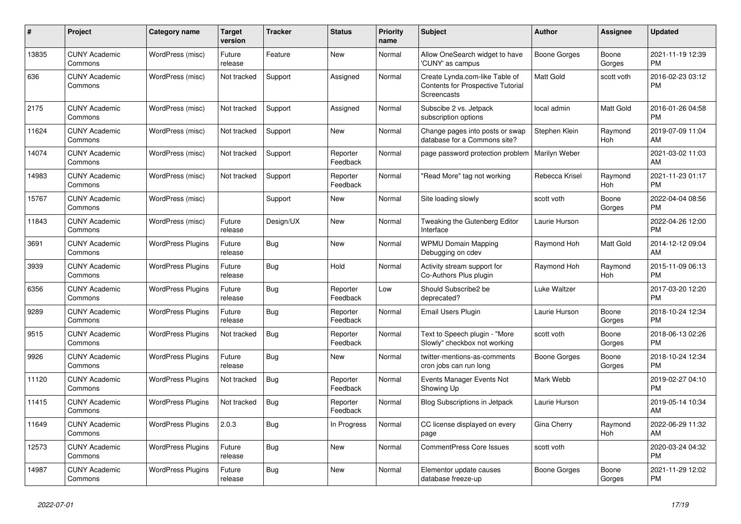| #     | Project                         | <b>Category name</b>     | <b>Target</b><br>version | <b>Tracker</b> | <b>Status</b>        | Priority<br>name | <b>Subject</b>                                                                            | <b>Author</b>    | <b>Assignee</b> | <b>Updated</b>                |
|-------|---------------------------------|--------------------------|--------------------------|----------------|----------------------|------------------|-------------------------------------------------------------------------------------------|------------------|-----------------|-------------------------------|
| 13835 | <b>CUNY Academic</b><br>Commons | WordPress (misc)         | Future<br>release        | Feature        | <b>New</b>           | Normal           | Allow OneSearch widget to have<br>'CUNY' as campus                                        | Boone Gorges     | Boone<br>Gorges | 2021-11-19 12:39<br><b>PM</b> |
| 636   | <b>CUNY Academic</b><br>Commons | WordPress (misc)         | Not tracked              | Support        | Assigned             | Normal           | Create Lynda.com-like Table of<br>Contents for Prospective Tutorial<br><b>Screencasts</b> | <b>Matt Gold</b> | scott voth      | 2016-02-23 03:12<br><b>PM</b> |
| 2175  | <b>CUNY Academic</b><br>Commons | WordPress (misc)         | Not tracked              | Support        | Assigned             | Normal           | Subscibe 2 vs. Jetpack<br>subscription options                                            | local admin      | Matt Gold       | 2016-01-26 04:58<br><b>PM</b> |
| 11624 | <b>CUNY Academic</b><br>Commons | WordPress (misc)         | Not tracked              | Support        | New                  | Normal           | Change pages into posts or swap<br>database for a Commons site?                           | Stephen Klein    | Raymond<br>Hoh  | 2019-07-09 11:04<br>AM        |
| 14074 | <b>CUNY Academic</b><br>Commons | WordPress (misc)         | Not tracked              | Support        | Reporter<br>Feedback | Normal           | page password protection problem                                                          | Marilyn Weber    |                 | 2021-03-02 11:03<br>AM        |
| 14983 | <b>CUNY Academic</b><br>Commons | WordPress (misc)         | Not tracked              | Support        | Reporter<br>Feedback | Normal           | "Read More" tag not working                                                               | Rebecca Krisel   | Raymond<br>Hoh  | 2021-11-23 01:17<br><b>PM</b> |
| 15767 | <b>CUNY Academic</b><br>Commons | WordPress (misc)         |                          | Support        | <b>New</b>           | Normal           | Site loading slowly                                                                       | scott voth       | Boone<br>Gorges | 2022-04-04 08:56<br><b>PM</b> |
| 11843 | <b>CUNY Academic</b><br>Commons | WordPress (misc)         | Future<br>release        | Design/UX      | <b>New</b>           | Normal           | Tweaking the Gutenberg Editor<br>Interface                                                | Laurie Hurson    |                 | 2022-04-26 12:00<br><b>PM</b> |
| 3691  | <b>CUNY Academic</b><br>Commons | <b>WordPress Plugins</b> | Future<br>release        | Bug            | <b>New</b>           | Normal           | <b>WPMU Domain Mapping</b><br>Debugging on cdev                                           | Raymond Hoh      | Matt Gold       | 2014-12-12 09:04<br>AM        |
| 3939  | <b>CUNY Academic</b><br>Commons | <b>WordPress Plugins</b> | Future<br>release        | Bug            | Hold                 | Normal           | Activity stream support for<br>Co-Authors Plus plugin                                     | Raymond Hoh      | Raymond<br>Hoh  | 2015-11-09 06:13<br><b>PM</b> |
| 6356  | <b>CUNY Academic</b><br>Commons | <b>WordPress Plugins</b> | Future<br>release        | Bug            | Reporter<br>Feedback | Low              | Should Subscribe2 be<br>deprecated?                                                       | Luke Waltzer     |                 | 2017-03-20 12:20<br><b>PM</b> |
| 9289  | <b>CUNY Academic</b><br>Commons | <b>WordPress Plugins</b> | Future<br>release        | Bug            | Reporter<br>Feedback | Normal           | Email Users Plugin                                                                        | Laurie Hurson    | Boone<br>Gorges | 2018-10-24 12:34<br><b>PM</b> |
| 9515  | <b>CUNY Academic</b><br>Commons | <b>WordPress Plugins</b> | Not tracked              | Bug            | Reporter<br>Feedback | Normal           | Text to Speech plugin - "More<br>Slowly" checkbox not working                             | scott voth       | Boone<br>Gorges | 2018-06-13 02:26<br><b>PM</b> |
| 9926  | <b>CUNY Academic</b><br>Commons | <b>WordPress Plugins</b> | Future<br>release        | <b>Bug</b>     | <b>New</b>           | Normal           | twitter-mentions-as-comments<br>cron jobs can run long                                    | Boone Gorges     | Boone<br>Gorges | 2018-10-24 12:34<br><b>PM</b> |
| 11120 | <b>CUNY Academic</b><br>Commons | <b>WordPress Plugins</b> | Not tracked              | Bug            | Reporter<br>Feedback | Normal           | Events Manager Events Not<br>Showing Up                                                   | Mark Webb        |                 | 2019-02-27 04:10<br><b>PM</b> |
| 11415 | <b>CUNY Academic</b><br>Commons | <b>WordPress Plugins</b> | Not tracked              | Bug            | Reporter<br>Feedback | Normal           | Blog Subscriptions in Jetpack                                                             | Laurie Hurson    |                 | 2019-05-14 10:34<br>AM        |
| 11649 | <b>CUNY Academic</b><br>Commons | <b>WordPress Plugins</b> | 2.0.3                    | Bug            | In Progress          | Normal           | CC license displayed on every<br>page                                                     | Gina Cherry      | Raymond<br>Hoh  | 2022-06-29 11:32<br>AM        |
| 12573 | <b>CUNY Academic</b><br>Commons | <b>WordPress Plugins</b> | Future<br>release        | <b>Bug</b>     | New                  | Normal           | CommentPress Core Issues                                                                  | scott voth       |                 | 2020-03-24 04:32<br><b>PM</b> |
| 14987 | <b>CUNY Academic</b><br>Commons | <b>WordPress Plugins</b> | Future<br>release        | Bug            | <b>New</b>           | Normal           | Elementor update causes<br>database freeze-up                                             | Boone Gorges     | Boone<br>Gorges | 2021-11-29 12:02<br><b>PM</b> |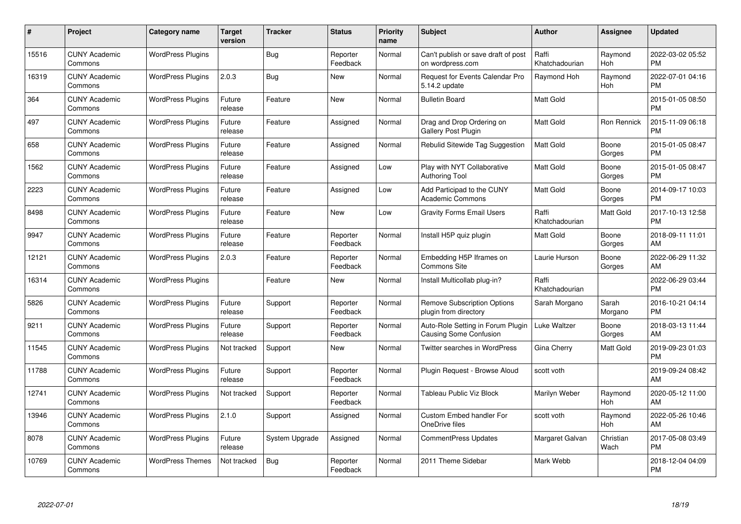| #     | Project                         | <b>Category name</b>     | <b>Target</b><br>version | <b>Tracker</b> | <b>Status</b>        | Priority<br>name | <b>Subject</b>                                                     | <b>Author</b>           | <b>Assignee</b>   | <b>Updated</b>                |
|-------|---------------------------------|--------------------------|--------------------------|----------------|----------------------|------------------|--------------------------------------------------------------------|-------------------------|-------------------|-------------------------------|
| 15516 | <b>CUNY Academic</b><br>Commons | <b>WordPress Plugins</b> |                          | Bug            | Reporter<br>Feedback | Normal           | Can't publish or save draft of post<br>on wordpress.com            | Raffi<br>Khatchadourian | Raymond<br>Hoh    | 2022-03-02 05:52<br><b>PM</b> |
| 16319 | <b>CUNY Academic</b><br>Commons | <b>WordPress Plugins</b> | 2.0.3                    | <b>Bug</b>     | <b>New</b>           | Normal           | Request for Events Calendar Pro<br>5.14.2 update                   | Raymond Hoh             | Raymond<br>Hoh    | 2022-07-01 04:16<br><b>PM</b> |
| 364   | <b>CUNY Academic</b><br>Commons | <b>WordPress Plugins</b> | Future<br>release        | Feature        | <b>New</b>           | Normal           | <b>Bulletin Board</b>                                              | Matt Gold               |                   | 2015-01-05 08:50<br><b>PM</b> |
| 497   | <b>CUNY Academic</b><br>Commons | <b>WordPress Plugins</b> | Future<br>release        | Feature        | Assigned             | Normal           | Drag and Drop Ordering on<br>Gallery Post Plugin                   | Matt Gold               | Ron Rennick       | 2015-11-09 06:18<br><b>PM</b> |
| 658   | <b>CUNY Academic</b><br>Commons | <b>WordPress Plugins</b> | Future<br>release        | Feature        | Assigned             | Normal           | Rebulid Sitewide Tag Suggestion                                    | <b>Matt Gold</b>        | Boone<br>Gorges   | 2015-01-05 08:47<br><b>PM</b> |
| 1562  | <b>CUNY Academic</b><br>Commons | <b>WordPress Plugins</b> | Future<br>release        | Feature        | Assigned             | Low              | Play with NYT Collaborative<br>Authoring Tool                      | <b>Matt Gold</b>        | Boone<br>Gorges   | 2015-01-05 08:47<br><b>PM</b> |
| 2223  | <b>CUNY Academic</b><br>Commons | <b>WordPress Plugins</b> | Future<br>release        | Feature        | Assigned             | Low              | Add Participad to the CUNY<br><b>Academic Commons</b>              | Matt Gold               | Boone<br>Gorges   | 2014-09-17 10:03<br><b>PM</b> |
| 8498  | <b>CUNY Academic</b><br>Commons | <b>WordPress Plugins</b> | Future<br>release        | Feature        | New                  | Low              | <b>Gravity Forms Email Users</b>                                   | Raffi<br>Khatchadourian | Matt Gold         | 2017-10-13 12:58<br><b>PM</b> |
| 9947  | <b>CUNY Academic</b><br>Commons | <b>WordPress Plugins</b> | Future<br>release        | Feature        | Reporter<br>Feedback | Normal           | Install H5P quiz plugin                                            | Matt Gold               | Boone<br>Gorges   | 2018-09-11 11:01<br>AM        |
| 12121 | <b>CUNY Academic</b><br>Commons | <b>WordPress Plugins</b> | 2.0.3                    | Feature        | Reporter<br>Feedback | Normal           | Embedding H5P Iframes on<br>Commons Site                           | Laurie Hurson           | Boone<br>Gorges   | 2022-06-29 11:32<br>AM        |
| 16314 | <b>CUNY Academic</b><br>Commons | <b>WordPress Plugins</b> |                          | Feature        | New                  | Normal           | Install Multicollab plug-in?                                       | Raffi<br>Khatchadourian |                   | 2022-06-29 03:44<br><b>PM</b> |
| 5826  | <b>CUNY Academic</b><br>Commons | <b>WordPress Plugins</b> | Future<br>release        | Support        | Reporter<br>Feedback | Normal           | <b>Remove Subscription Options</b><br>plugin from directory        | Sarah Morgano           | Sarah<br>Morgano  | 2016-10-21 04:14<br><b>PM</b> |
| 9211  | <b>CUNY Academic</b><br>Commons | <b>WordPress Plugins</b> | Future<br>release        | Support        | Reporter<br>Feedback | Normal           | Auto-Role Setting in Forum Plugin<br><b>Causing Some Confusion</b> | Luke Waltzer            | Boone<br>Gorges   | 2018-03-13 11:44<br>AM        |
| 11545 | <b>CUNY Academic</b><br>Commons | <b>WordPress Plugins</b> | Not tracked              | Support        | New                  | Normal           | Twitter searches in WordPress                                      | Gina Cherry             | Matt Gold         | 2019-09-23 01:03<br><b>PM</b> |
| 11788 | <b>CUNY Academic</b><br>Commons | <b>WordPress Plugins</b> | Future<br>release        | Support        | Reporter<br>Feedback | Normal           | Plugin Request - Browse Aloud                                      | scott voth              |                   | 2019-09-24 08:42<br>AM        |
| 12741 | <b>CUNY Academic</b><br>Commons | <b>WordPress Plugins</b> | Not tracked              | Support        | Reporter<br>Feedback | Normal           | <b>Tableau Public Viz Block</b>                                    | Marilyn Weber           | Raymond<br>Hoh    | 2020-05-12 11:00<br>AM        |
| 13946 | <b>CUNY Academic</b><br>Commons | <b>WordPress Plugins</b> | 2.1.0                    | Support        | Assigned             | Normal           | <b>Custom Embed handler For</b><br>OneDrive files                  | scott voth              | Raymond<br>Hoh    | 2022-05-26 10:46<br>AM        |
| 8078  | <b>CUNY Academic</b><br>Commons | <b>WordPress Plugins</b> | Future<br>release        | System Upgrade | Assigned             | Normal           | <b>CommentPress Updates</b>                                        | Margaret Galvan         | Christian<br>Wach | 2017-05-08 03:49<br><b>PM</b> |
| 10769 | CUNY Academic<br>Commons        | <b>WordPress Themes</b>  | Not tracked              | Bug            | Reporter<br>Feedback | Normal           | 2011 Theme Sidebar                                                 | Mark Webb               |                   | 2018-12-04 04:09<br><b>PM</b> |